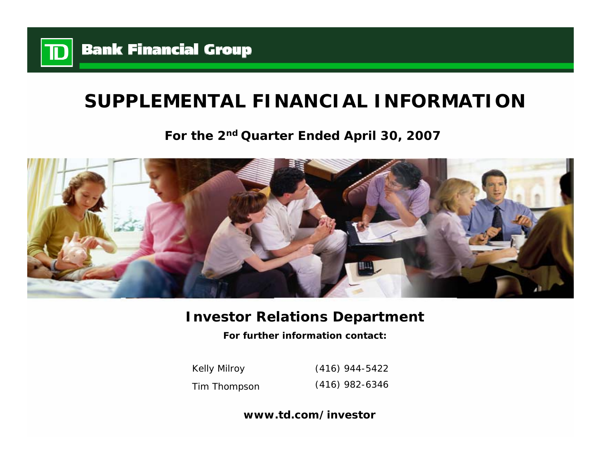

# **SUPPLEMENTAL FINANCIAL INFORMATION**

# **For the 2nd Quarter Ended April 30, 2007**



# **Investor Relations Department**

**For further information contact:**

Kelly Milroy Tim Thompson (416) 944-5422 (416) 982-6346

**www.td.com/investor**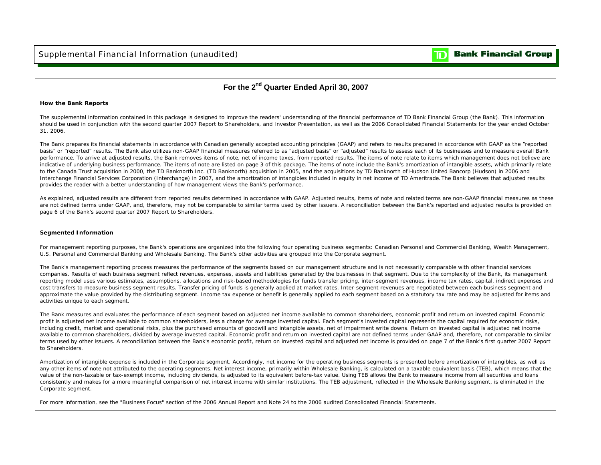

### **For the 2nd Quarter Ended April 30, 2007**

#### **How the Bank Reports**

The supplemental information contained in this package is designed to improve the readers' understanding of the financial performance of TD Bank Financial Group (the Bank). This information should be used in conjunction with the second quarter 2007 Report to Shareholders, and Investor Presentation, as well as the 2006 Consolidated Financial Statements for the year ended October 31, 2006.

The Bank prepares its financial statements in accordance with Canadian generally accepted accounting principles (GAAP) and refers to results prepared in accordance with GAAP as the "reported basis" or "reported" results. The Bank also utilizes non-GAAP financial measures referred to as "adjusted basis" or "adjusted" results to assess each of its businesses and to measure overall Bank performance. To arrive at adjusted results, the Bank removes items of note, net of income taxes, from reported results. The items of note relate to items which management does not believe are indicative of underlying business performance. The items of note are listed on page 3 of this package. The items of note include the Bank's amortization of intangible assets, which primarily relate to the Canada Trust acquisition in 2000, the TD Banknorth Inc. (TD Banknorth) acquisition in 2005, and the acquisitions by TD Banknorth of Hudson United Bancorp (Hudson) in 2006 and Interchange Financial Services Corporation (Interchange) in 2007, and the amortization of intangibles included in equity in net income of TD Ameritrade. The Bank believes that adjusted results provides the reader with a better understanding of how management views the Bank's performance.

As explained, adjusted results are different from reported results determined in accordance with GAAP. Adjusted results, items of note and related terms are non-GAAP financial measures as these are not defined terms under GAAP, and, therefore, may not be comparable to similar terms used by other issuers. A reconciliation between the Bank's reported and adjusted results is provided on page 6 of the Bank's second quarter 2007 Report to Shareholders.

#### **Segmented Information**

For management reporting purposes, the Bank's operations are organized into the following four operating business segments: Canadian Personal and Commercial Banking, Wealth Management, U.S. Personal and Commercial Banking and Wholesale Banking. The Bank's other activities are grouped into the Corporate segment.

The Bank's management reporting process measures the performance of the segments based on our management structure and is not necessarily comparable with other financial services companies. Results of each business segment reflect revenues, expenses, assets and liabilities generated by the businesses in that segment. Due to the complexity of the Bank, its management reporting model uses various estimates, assumptions, allocations and risk-based methodologies for funds transfer pricing, inter-segment revenues, income tax rates, capital, indirect expenses and cost transfers to measure business segment results. Transfer pricing of funds is generally applied at market rates. Inter-segment revenues are negotiated between each business segment and approximate the value provided by the distributing segment. Income tax expense or benefit is generally applied to each segment based on a statutory tax rate and may be adjusted for items and activities unique to each segment.

The Bank measures and evaluates the performance of each segment based on adjusted net income available to common shareholders, economic profit and return on invested capital. Economic profit is adjusted net income available to common shareholders, less a charge for average invested capital. Each segment's invested capital represents the capital required for economic risks, including credit, market and operational risks, plus the purchased amounts of goodwill and intangible assets, net of impairment write downs. Return on invested capital is adjusted net income available to common shareholders, divided by average invested capital. Economic profit and return on invested capital are not defined terms under GAAP and, therefore, not comparable to similar terms used by other issuers. A reconciliation between the Bank's economic profit, return on invested capital and adjusted net income is provided on page 7 of the Bank's first quarter 2007 Report to Shareholders.

Amortization of intangible expense is included in the Corporate segment. Accordingly, net income for the operating business segments is presented before amortization of intangibles, as well as any other items of note not attributed to the operating segments. Net interest income, primarily within Wholesale Banking, is calculated on a taxable equivalent basis (TEB), which means that the value of the non-taxable or tax-exempt income, including dividends, is adjusted to its equivalent before-tax value. Using TEB allows the Bank to measure income from all securities and loans consistently and makes for a more meaningful comparison of net interest income with similar institutions. The TEB adjustment, reflected in the Wholesale Banking segment, is eliminated in the Corporate segment.

For more information, see the "Business Focus" section of the 2006 Annual Report and Note 24 to the 2006 audited Consolidated Financial Statements.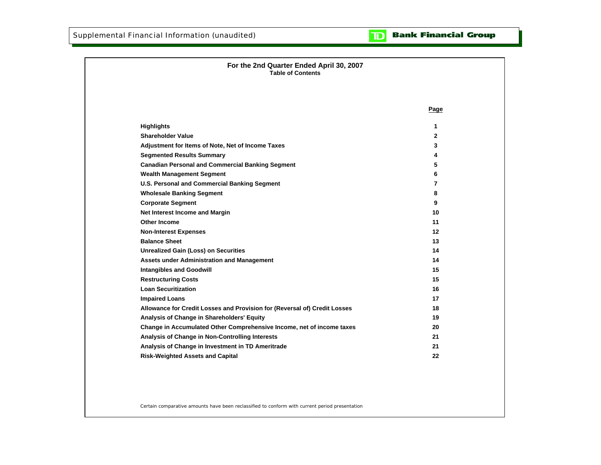

| For the 2nd Quarter Ended April 30, 2007<br><b>Table of Contents</b>      |              |
|---------------------------------------------------------------------------|--------------|
|                                                                           |              |
|                                                                           | Page         |
| <b>Highlights</b>                                                         | 1            |
| <b>Shareholder Value</b>                                                  | $\mathbf{2}$ |
| Adjustment for Items of Note, Net of Income Taxes                         | 3            |
| <b>Segmented Results Summary</b>                                          | 4            |
| <b>Canadian Personal and Commercial Banking Segment</b>                   | 5            |
| <b>Wealth Management Segment</b>                                          | 6            |
| U.S. Personal and Commercial Banking Segment                              | 7            |
| <b>Wholesale Banking Segment</b>                                          | 8            |
| <b>Corporate Segment</b>                                                  | 9            |
| Net Interest Income and Margin                                            | 10           |
| <b>Other Income</b>                                                       | 11           |
| <b>Non-Interest Expenses</b>                                              | 12           |
| <b>Balance Sheet</b>                                                      | 13           |
| <b>Unrealized Gain (Loss) on Securities</b>                               | 14           |
| <b>Assets under Administration and Management</b>                         | 14           |
| <b>Intangibles and Goodwill</b>                                           | 15           |
| <b>Restructuring Costs</b>                                                | 15           |
| <b>Loan Securitization</b>                                                | 16           |
| <b>Impaired Loans</b>                                                     | 17           |
| Allowance for Credit Losses and Provision for (Reversal of) Credit Losses | 18           |
| Analysis of Change in Shareholders' Equity                                | 19           |
| Change in Accumulated Other Comprehensive Income, net of income taxes     | 20           |
| Analysis of Change in Non-Controlling Interests                           | 21           |
| Analysis of Change in Investment in TD Ameritrade                         | 21           |
| <b>Risk-Weighted Assets and Capital</b>                                   | 22           |

Certain comparative amounts have been reclassified to conform with current period presentation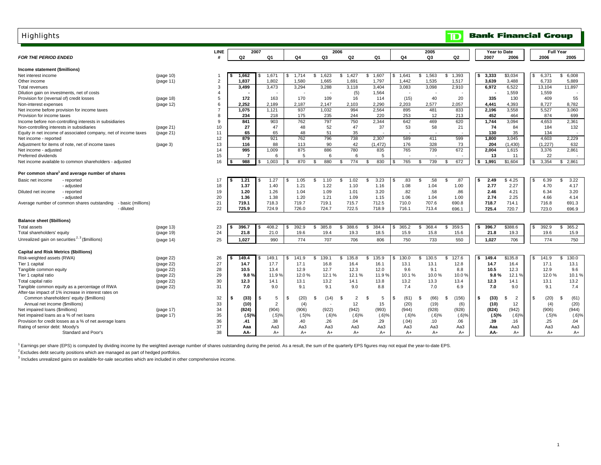### Highlights

| <b>Highlights</b>                                                 |                      |                |            |                  |                |             |          |          |                      |                |           |             | $\overline{\mathbf{D}}$ |    |              | <b>Bank Financial Group</b> |            |                          |
|-------------------------------------------------------------------|----------------------|----------------|------------|------------------|----------------|-------------|----------|----------|----------------------|----------------|-----------|-------------|-------------------------|----|--------------|-----------------------------|------------|--------------------------|
|                                                                   |                      | <b>LINE</b>    |            | 2007             |                |             |          | 2006     |                      |                |           | 2005        |                         |    | Year to Date |                             |            | <b>Full Year</b>         |
| <b>FOR THE PERIOD ENDED</b>                                       |                      |                | Q2         |                  | Q1             | Q4          |          | Q3       | Q2                   | Q <sub>1</sub> | Q4        | Q3          | Q2                      |    | 2007         | 2006                        | 2006       | 2005                     |
| Income statement (\$millions)                                     |                      |                |            |                  |                |             |          |          |                      |                |           |             |                         |    |              |                             |            |                          |
| Net interest income                                               | (page 10)            |                | 1,662      |                  | 1,671          | 1.714<br>\$ | \$       | 1,623    | 1,427<br>\$          | 1,607<br>\$    | 1.641     | 1,563<br>\$ | 1,393<br>S.             |    | 3,333        | \$3,034                     | 6,371      | 6,008<br>\$              |
| Other income                                                      | (page 11)            | $\overline{2}$ | 1,837      |                  | 1,802          | 1,580       |          | 1,665    | 1,691                | 1,797          | 1,442     | 1,535       | 1,517                   |    | 3,639        | 3,488                       | 6,733      | 5,889                    |
| Total revenues                                                    |                      | 3              | 3,499      |                  | 3,473          | 3.294       |          | 3,288    | 3,118                | 3,404          | 3,083     | 3,098       | 2,910                   |    | 6.972        | 6,522                       | 13.104     | 11,897                   |
| Dilution gain on investments, net of costs                        |                      | $\overline{4}$ |            |                  |                |             |          |          | (5)                  | 1,564          |           |             |                         |    |              | 1,559                       | 1,559      |                          |
| Provision for (reversal of) credit losses                         | (page 18)            | 5              | 172        |                  | 163            | 170         |          | 109      | 16                   | 114            | (15)      | 40          | 20                      |    | 335          | 130                         | 409        | 55                       |
| Non-interest expenses                                             | (page 12)            | 6              | 2,252      |                  | 2,189          | 2.187       |          | 2,147    | 2,103                | 2,290          | 2,203     | 2.577       | 2,057                   |    | 4,441        | 4,393                       | 8,727      | 8,782                    |
| Net income before provision for income taxes                      |                      | $\overline{7}$ | 1.075      |                  | 1.121          | 937         |          | 1.032    | 994                  | 2.564          | 895       | 481         | 833                     |    | 2,196        | 3,558                       | 5,527      | 3.060                    |
| Provision for income taxes                                        |                      | 8              | 234        |                  | 218            | 175         |          | 235      | 244                  | 220            | 253       | 12          | 213                     |    | 452          | 464                         | 874        | 699                      |
| Income before non-controlling interests in subsidiaries           |                      | 9              | 841        |                  | 903            | 762         |          | 797      | 750                  | 2,344          | 642       | 469         | 620                     |    | 1,744        | 3,094                       | 4,653      | 2,361                    |
| Non-controlling interests in subsidiaries                         | (page 21)            | 10             | 27         |                  | 47             |             | 48       | 52       | 47                   | 37             | 53        | 58          | 21                      |    | 74           | 84                          | 184        | 132                      |
| Equity in net income of associated company, net of income taxes   | (page 21)            | 11             | 65         |                  | 65             | 48          |          | 51       | 35                   |                |           |             |                         |    | 130          | 35                          | 134        | $\overline{\phantom{a}}$ |
| Net income - reported                                             |                      | 12             | 879        |                  | 921            | 762         |          | 796      | 738                  | 2.307          | 589       | 411         | 599                     |    | 1,800        | 3,045                       | 4,603      | 2,229                    |
| Adjustment for items of note, net of income taxes                 | (page <sub>3</sub> ) | 13             | 116        |                  | 88             | 113         |          | 90       | 42                   | (1, 472)       | 176       | 328         | 73                      |    | 204          | (1, 430)                    | (1, 227)   | 632                      |
| Net income - adjusted                                             |                      | 14             | 995        |                  | 1,009          | 875         |          | 886      | 780                  | 835            | 765       | 739         | 672                     |    | 2,004        | 1,615                       | 3,376      | 2,861                    |
| Preferred dividends                                               |                      | 15             |            | $\overline{7}$   | 6              |             | 5        | 6        | 6                    | 5              |           |             |                         |    | 13           | 11                          | 22         |                          |
| Net income available to common shareholders - adjusted            |                      | 16             | 988        |                  | 1.003          | 870         | \$       | 880      | 774<br>\$.           | 830<br>\$.     | 765       | 739<br>\$.  | 672<br>-S               |    | 1.991        | \$1,604                     | 3.354      | \$2.861                  |
| Per common share <sup>1</sup> and average number of shares        |                      |                |            |                  |                |             |          |          |                      |                |           |             |                         |    |              |                             |            |                          |
| Basic net income<br>- reported                                    |                      | 17             | 1.21       |                  | 1.27           | 1.05        | \$       | 1.10     | 1.02<br>S.           | 3.23<br>£.     | .83       | .58<br>\$   | .87<br>\$.              |    | 2.49         | \$4.25                      | 6.39       | 3.22                     |
| - adjusted                                                        |                      | 18             | 1.37       |                  | 1.40           | 1.21        |          | 1.22     | 1.10                 | 1.16           | 1.08      | 1.04        | 1.00                    |    | 2.77         | 2.27                        | 4.70       | 4.17                     |
| - reported<br>Diluted net income                                  |                      | 19             | 1.20       |                  | 1.26           | 1.04        |          | 1.09     | 1.01                 | 3.20           | .82       | .58         | .86                     |    | 2.46         | 4.21                        | 6.34       | 3.20                     |
| - adjusted                                                        |                      | 20             | 1.36       |                  | 1.38           | 1.20        |          | 1.21     | 1.09                 | 1.15           | 1.06      | 1.04        | 1.00                    |    | 2.74         | 2.25                        | 4.66       | 4.14                     |
| Average number of common shares outstanding<br>- basic (millions) |                      | 21             | 719.1      |                  | 718.3          | 719.7       |          | 719.1    | 715.7                | 712.5          | 710.0     | 707.6       | 690.8                   |    | 718.7        | 714.1                       | 716.8      | 691.3                    |
| - diluted                                                         |                      | 22             | 725.9      |                  | 724.9          | 726.0       |          | 724.7    | 722.5                | 718.9          | 716.1     | 713.4       | 696.1                   |    | 725.4        | 720.7                       | 723.0      | 696.9                    |
| Balance sheet (\$billions)                                        |                      |                |            |                  |                |             |          |          |                      |                |           |             |                         |    |              |                             |            |                          |
| <b>Total assets</b>                                               | (page 13)            | 23             | 396.7      |                  | 408.2          | 392.9       | \$       | 385.8    | \$<br>388.6          | 384.4<br>\$.   | 365.2     | \$<br>368.4 | 359.5<br>\$             | Ŝ. | 396.7        | \$388.6                     | 392.9      | 365.2<br>\$              |
| Total shareholders' equity                                        | (page 19)            | 24             | 21.8       |                  | 21.0           | 19.6        |          | 19.4     | 19.3                 | 18.5           | 15.9      | 15.8        | 15.6                    |    | 21.8         | 19.3                        | 19.6       | 15.9                     |
| Unrealized gain on securities <sup>2, 3</sup> (\$millions)        | (page 14)            | 25             | 1,027      |                  | 990            | 774         |          | 707      | 706                  | 806            | 750       | 733         | 550                     |    | 1,027        | 706                         | 774        | 750                      |
| <b>Capital and Risk Metrics (\$billions)</b>                      |                      |                |            |                  |                |             |          |          |                      |                |           |             |                         |    |              |                             |            |                          |
| Risk-weighted assets (RWA)                                        | (page 22)            | 26             | 149.4      |                  | 149.1          | 141.9       | \$       | 139.1    | \$.<br>135.8         | 135.9<br>\$    | 130.0     | 130.5<br>\$ | 127.6<br>S              |    | 149.4        | \$135.8                     | 141.9      | \$<br>130.0              |
| Tier 1 capital                                                    | (page 22)            | 27             | 14.7       |                  | 17.7           | 17.1        |          | 16.8     | 16.4                 | 16.1           | 13.1      | 13.1        | 12.8                    |    | 14.7         | 16.4                        | 17.1       | 13.1                     |
| Tangible common equity                                            | (page 22)            | 28             | 10.5       |                  | 13.4           | 12.9        |          | 12.7     | 12.3                 | 12.0           | 9.6       | 9.1         | 8.8                     |    | 10.5         | 12.3                        | 12.9       | 9.6                      |
| Tier 1 capital ratio                                              | (page 22)            | 29             |            | 9.8 <sub>9</sub> | 11.9%          |             | 12.0%    | 12.1%    | 12.1 %               | 11.9%          | 10.1%     | 10.0%       | 10.0%                   |    | 9.8%         | 12.1 %                      | 12.0%      | 10.1%                    |
| Total capital ratio                                               | (page 22)            | 30             | 12.3       |                  | 14.1           | 13.1        |          | 13.2     | 14.1                 | 13.8           | 13.2      | 13.3        | 13.4                    |    | 12.3         | 14.1                        | 13.1       | 13.2                     |
| Tangible common equity as a percentage of RWA                     | (page 22)            | 31             | 7.0        |                  | 9.0            | 9.1         |          | 9.1      | 9.0                  | 8.8            | 7.4       | 7.0         | 6.9                     |    | 7.0          | 9.0                         | 9.1        | 7.4                      |
| After-tax impact of 1% increase in interest rates on              |                      |                |            |                  |                |             |          |          |                      |                |           |             |                         |    |              |                             |            |                          |
| Common shareholders' equity (\$millions)                          |                      | 32             | (33)<br>\$ | \$               | 5              | (20)<br>S   | £.       | (14)     | $\overline{2}$<br>-S | \$<br>5        | (61)<br>S | (66)<br>\$  | (156)<br>\$.            | \$ | (33)         | $\overline{2}$              | \$<br>(20) | (61)<br>- \$             |
| Annual net income (\$millions)                                    |                      | 33             | (10)       |                  | $\overline{2}$ |             | (4)      |          | 12                   | 15             | (20)      | (19)        | (6)                     |    | (10)         | 12                          | (4)        | (20)                     |
| Net impaired loans (\$millions)                                   | (page 17)            | 34             | (824)      |                  | (904)          | (906)       |          | (922)    | (942)                | (993)          | (944)     | (928)       | (928)                   |    | (824)        | (942)                       | (906)      | (944)                    |
| Net impaired loans as a % of net loans                            | (page 17)            | 35             |            | (.5)%            | (.5)%          |             | $(.5)$ % | $(.6)$ % | $(.6)$ %             | (.6)%          | $(.6)$ %  | $(.6)$ %    | (.6)                    |    | (.5)%        | $(.6)$ %                    | (.5)%      | $(0.6)$ %                |
| Provision for credit losses as a % of net average loans           |                      | 36             | .41        |                  | .38            |             | .40      | .26      | .04                  | .29            | (.04)     | .10         | .06                     |    | .39          | .16                         | .25        | .04                      |
| Rating of senior debt: Moody's                                    |                      | 37             | Aaa        |                  | Aa3            | Aa3         |          | Aa3      | Aa3                  | Aa3            | Aa3       | Aa3         | АаЗ                     |    | Aaa          | Aa3                         | Aa3        | Aa3                      |
| Standard and Poor's                                               |                      | 38             | AA-        |                  | A+             |             | $A+$     | $A+$     | A+                   | A+             | $A+$      | $A+$        | A+                      |    | AA-          | A+                          | A+         | A+                       |
|                                                                   |                      |                |            |                  |                |             |          |          |                      |                |           |             |                         |    |              |                             |            |                          |

1 Earnings per share (EPS) is computed by dividing income by the weighted average number of shares outstanding during the period. As a result, the sum of the quarterly EPS figures may not equal the year-to-date EPS.

 $2$  Excludes debt security positions which are managed as part of hedged portfolios.

<sup>3</sup> Includes unrealized gains on available-for-sale securities which are included in other comprehensive income.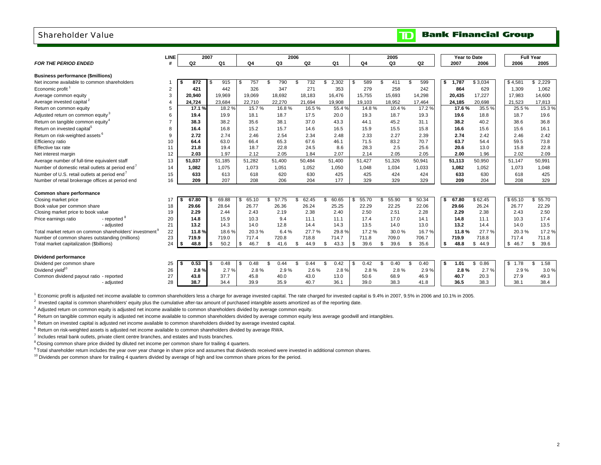### Shareholder Value

|                                                                     | <b>LINE</b> |              | 2007           |              |              | 2006           |                |                | 2005           |                                                                                                                                                                                                                                                                                                                                              |              | Year to Date |              | <b>Full Year</b> |
|---------------------------------------------------------------------|-------------|--------------|----------------|--------------|--------------|----------------|----------------|----------------|----------------|----------------------------------------------------------------------------------------------------------------------------------------------------------------------------------------------------------------------------------------------------------------------------------------------------------------------------------------------|--------------|--------------|--------------|------------------|
| <b>FOR THE PERIOD ENDED</b>                                         | #           | Q2           | Q <sub>1</sub> | Q4           | Q3           | Q <sub>2</sub> | Q <sub>1</sub> | Q <sub>4</sub> | Q <sub>3</sub> | Q <sub>2</sub>                                                                                                                                                                                                                                                                                                                               | 2007         | 2006         | 2006         | 2005             |
| <b>Business performance (\$millions)</b>                            |             |              |                |              |              |                |                |                |                |                                                                                                                                                                                                                                                                                                                                              |              |              |              |                  |
| Net income available to common shareholders                         |             | 872          | 915            | 757<br>£     | 790<br>\$    | 732<br>\$      | 2,302<br>\$.   | 589            | 411            | 599                                                                                                                                                                                                                                                                                                                                          | 1.787        | \$3,034      | \$4.581      | 2.229<br>\$.     |
| Economic profit <sup>1</sup>                                        | 2           | 421          | 442            | 326          | 347          | 271            | 353            | 279            | 258            | 242                                                                                                                                                                                                                                                                                                                                          | 864          | 629          | 1.309        | 1.062            |
| Average common equity                                               | 3           | 20.940       | 19.969         | 19.069       | 18.692       | 18.183         | 16.476         | 15.755         | 15,693         | 14,298                                                                                                                                                                                                                                                                                                                                       | 20,435       | 17,227       | 17.983       | 14,600           |
| Average invested capital <sup>2</sup>                               |             | 24,724       | 23,684         | 22,710       | 22,270       | 21,694         | 19,908         | 19,103         | 18,952         | 17,464                                                                                                                                                                                                                                                                                                                                       | 24,185       | 20,698       | 21,523       | 17,813           |
| Return on common equity                                             | 5           | 17.1%        | 18.2 %         | 15.7%        | 16.8%        | 16.5%          | 55.4 %         | 14.8%          | 10.4%          | 17.2 %                                                                                                                                                                                                                                                                                                                                       | 17.6%        | 35.5 %       | 25.5%        | 15.3%            |
| Adjusted return on common equity <sup>3</sup>                       | 6           | 19.4         | 19.9           | 18.1         | 18.7         | 17.5           | 20.0           | 19.3           | 18.7           | 19.3                                                                                                                                                                                                                                                                                                                                         | 19.6         | 18.8         | 18.7         | 19.6             |
| Return on tangible common equity <sup>4</sup>                       |             | 38.3         | 38.2           | 35.6         | 38.1         | 37.0           | 43.3           | 44.1           | 45.2           | 31.1                                                                                                                                                                                                                                                                                                                                         | 38.2         | 40.2         | 38.6         | 36.8             |
| Return on invested capital <sup>5</sup>                             | 8           | 16.4         | 16.8           | 15.2         | 15.7         | 14.6           | 16.5           | 15.9           | 15.5           | 15.8                                                                                                                                                                                                                                                                                                                                         | 16.6         | 15.6         | 15.6         | 16.1             |
| Return on risk-weighted assets <sup>6</sup>                         | 9           | 2.72         | 2.74           | 2.46         | 2.54         | 2.34           | 2.48           | 2.33           | 2.27           | 2.39                                                                                                                                                                                                                                                                                                                                         | 2.74         | 2.42         | 2.46         | 2.42             |
| Efficiency ratio                                                    | 10          | 64.4         | 63.0           | 66.4         | 65.3         | 67.6           | 46.1           | 71.5           | 83.2           | 70.7                                                                                                                                                                                                                                                                                                                                         | 63.7         | 54.4         | 59.5         | 73.8             |
| Effective tax rate                                                  | 11          | 21.8         | 19.4           | 18.7         | 22.8         | 24.5           | 8.6            | 28.3           | 2.5            | 25.6                                                                                                                                                                                                                                                                                                                                         | 20.6         | 13.0         | 15.8         | 22.8             |
| Net interest margin                                                 | 12          | 2.03         | 1.97           | 2.12         | 2.05         | 1.84           | 2.07           | 2.14           | 2.05           | 2.05                                                                                                                                                                                                                                                                                                                                         | 2.00         | 1.96         | 2.02         | 2.09             |
| Average number of full-time equivalent staff                        | 13          | 51,037       | 51,185         | 51,282       | 51,400       | 50.484         | 51,400         | 51,427         | 51,326         | 50,941                                                                                                                                                                                                                                                                                                                                       | 51,113       | 50,950       | 51.147       | 50,991           |
| Number of domestic retail outlets at period end <sup>7</sup>        | 14          | 1.082        | 1.075          | 1,073        | 1,051        | 1,052          | 1,050          | 1,048          | 1,034          | 1,033                                                                                                                                                                                                                                                                                                                                        | 1,082        | 1,052        | 1.073        | 1,048            |
| Number of U.S. retail outlets at period end <sup>7</sup>            | 15          | 633          | 613            | 618          | 620          | 630            | 425            | 425            | 424            | 424                                                                                                                                                                                                                                                                                                                                          | 633          | 630          | 618          | 425              |
| Number of retail brokerage offices at period end                    | 16          | 209          | 207            | 208          | 206          | 204            | 177            | 329            | 329            | 329                                                                                                                                                                                                                                                                                                                                          | 209          | 204          | 208          | 329              |
|                                                                     |             |              |                |              |              |                |                |                |                |                                                                                                                                                                                                                                                                                                                                              |              |              |              |                  |
| Common share performance                                            |             |              |                |              |              |                |                |                |                |                                                                                                                                                                                                                                                                                                                                              |              |              |              |                  |
| Closing market price                                                | 17          | 67.80        | 69.88<br>\$.   | 65.10<br>\$  | 57.75<br>\$. | \$<br>62.45    | 60.65<br>\$.   | 55.70<br>Я.    | 55.90          | 50.34                                                                                                                                                                                                                                                                                                                                        | 67.80        | \$62.45      | \$65.10      | \$55.70          |
| Book value per common share                                         | 18          | 29.66        | 28.64          | 26.77        | 26.36        | 26.24          | 25.25          | 22.29          | 22.25          | 22.06                                                                                                                                                                                                                                                                                                                                        | 29.66        | 26.24        | 26.77        | 22.29            |
| Closing market price to book value                                  | 19          | 2.29         | 2.44           | 2.43         | 2.19         | 2.38           | 2.40           | 2.50           | 2.51           | 2.28                                                                                                                                                                                                                                                                                                                                         | 2.29         | 2.38         | 2.43         | 2.50             |
| - reported<br>Price earnings ratio                                  | 20          | 14.8         | 15.9           | 10.3         | 9.4          | 11.1           | 11.1           | 17.4           | 17.0           | 14.1                                                                                                                                                                                                                                                                                                                                         | 14.8         | 11.1         | 10.3         | 17.4             |
| - adjusted                                                          | 21          | 13.2         | 14.3           | 14.0         | 12.8         | 14.4           | 14.3           | 13.5           | 14.0           | 13.0                                                                                                                                                                                                                                                                                                                                         | 13.2         | 14.4         | 14.0         | 13.5             |
| Total market return on common shareholders' investment <sup>9</sup> | 22          | 11.8%        | 18.6%          | 20.3%        | 6.4%         | 27.7%          | 29.8%          | 17.2%          | 30.0%          | 16.7%                                                                                                                                                                                                                                                                                                                                        | 11.8%        | 27.7%        | 20.3%        | 17.2%            |
| Number of common shares outstanding (millions)                      | 23          | 719.9        | 719.0          | 717.4        | 720.8        | 718.8          | 714.7          | 711.8          | 709.0          | 706.7                                                                                                                                                                                                                                                                                                                                        | 719.9        | 718.8        | 717.4        | 711.8            |
| Total market capitalization (\$billions)                            | 24          | 48.8         | 50.2<br>l \$   | \$<br>46.7   | 41.6<br>\$.  | 44.9<br>\$     | 43.3<br>\$     | 39.6<br>\$     | 39.6<br>-S     | 35.6<br>- \$                                                                                                                                                                                                                                                                                                                                 | 48.8<br>S    | \$<br>44.9   | \$46.7       | 39.6<br>\$       |
| Dividend performance                                                |             |              |                |              |              |                |                |                |                |                                                                                                                                                                                                                                                                                                                                              |              |              |              |                  |
|                                                                     |             |              | 0.48           | 0.48         |              | 0.44           |                |                | 0.40           |                                                                                                                                                                                                                                                                                                                                              | 1.01         |              | \$1.78       |                  |
| Dividend per common share<br>Dividend yield <sup>10</sup>           | 25          | 0.53         | \$             | -9           | \$<br>0.44   | \$             | 0.42<br>£.     | 0.42           |                | 0.40                                                                                                                                                                                                                                                                                                                                         |              | \$<br>0.86   |              | \$<br>1.58       |
|                                                                     | 26          | 2.8%         | 2.7%           | 2.8%         | 2.9%         | 2.6%           | 2.8%           | 2.8%           | 2.8%           | 2.9%                                                                                                                                                                                                                                                                                                                                         | 2.8%         | 2.7%         | 2.9%         | 3.0%             |
| Common dividend payout ratio - reported<br>- adjusted               | 27<br>28    | 43.8<br>38.7 | 37.7<br>34.4   | 45.8<br>39.9 | 40.0<br>35.9 | 43.0<br>40.7   | 13.0<br>36.1   | 50.6<br>39.0   | 68.9<br>38.3   | 46.9<br>41.8                                                                                                                                                                                                                                                                                                                                 | 40.7<br>36.5 | 20.3<br>38.3 | 27.9<br>38.1 | 49.3<br>38.4     |
|                                                                     |             |              |                |              |              |                |                |                |                |                                                                                                                                                                                                                                                                                                                                              |              |              |              |                  |
| $1$ Esconario profit in adjusts                                     |             |              |                |              |              |                |                |                |                | $f_{\text{max}}$ : $f_{\text{max}}$ and $f_{\text{max}}$ is $f_{\text{max}}$ and $f_{\text{max}}$ and $f_{\text{max}}$ and $f_{\text{max}}$ and $f_{\text{max}}$ and $f_{\text{max}}$ and $f_{\text{max}}$ and $f_{\text{max}}$ and $f_{\text{max}}$ and $f_{\text{max}}$ and $f_{\text{max}}$ and $f_{\text{max}}$ and $f_{\text{max}}$ and |              |              |              |                  |

Economic profit is adjusted net income available to common shareholders less a charge for average invested capital. The rate charged for invested capital is 9.4% in 2007, 9.5% in 2006 and 10.1% in 2005.

 $<sup>2</sup>$  Invested capital is common shareholders' equity plus the cumulative after-tax amount of purchased intangible assets amortized as of the reporting date.</sup>

<sup>3</sup> Adjusted return on common equity is adjusted net income available to common shareholders divided by average common equity.

<sup>4</sup> Return on tangible common equity is adjusted net income available to common shareholders divided by average common equity less average goodwill and intangibles.

 $<sup>5</sup>$  Return on invested capital is adjusted net income available to common shareholders divided by average invested capital.</sup>

 $6$  Return on risk-weighted assets is adjusted net income available to common shareholders divided by average RWA.

<sup>7</sup> Includes retail bank outlets, private client centre branches, and estates and trusts branches.

<sup>8</sup> Closing common share price divided by diluted net income per common share for trailing 4 quarters.

<sup>9</sup> Total shareholder return includes the year over year change in share price and assumes that dividends received were invested in additional common shares.

 $10$  Dividends per common share for trailing 4 quarters divided by average of high and low common share prices for the period.

#### **Bank Financial Group**  $\mathbf{D}$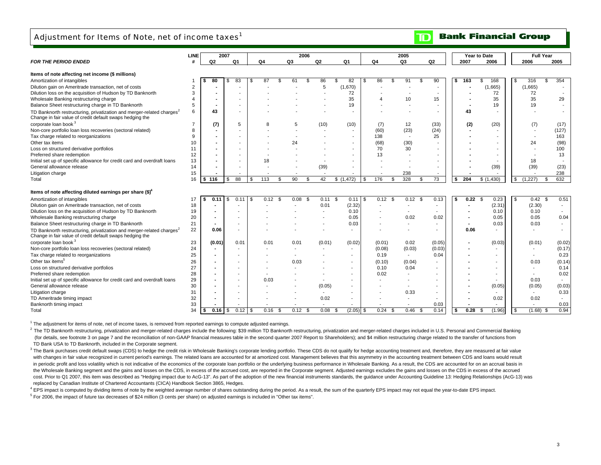### Adjustment for Items of Note, net of income taxes<sup>1</sup>

#### **Bank Financial Group**  $\mathbf{D}$

|                                                                                                                                               | <b>LINE</b>    |        | 2007 |      |    |              |    | 2006         |                    |                   |      |              | 2005                     |      |                          |      |       | Year to Date   |     | <b>Full Year</b>         |      |                          |
|-----------------------------------------------------------------------------------------------------------------------------------------------|----------------|--------|------|------|----|--------------|----|--------------|--------------------|-------------------|------|--------------|--------------------------|------|--------------------------|------|-------|----------------|-----|--------------------------|------|--------------------------|
| <b>FOR THE PERIOD ENDED</b>                                                                                                                   |                | Q2     |      | Q1   |    | Q4           | Q3 |              | Q2                 | Q1                |      | Q4           | Q <sub>3</sub>           |      | Q2                       |      | 2007  | 2006           |     | 2006                     | 2005 |                          |
|                                                                                                                                               |                |        |      |      |    |              |    |              |                    |                   |      |              |                          |      |                          |      |       |                |     |                          |      |                          |
| Items of note affecting net income (\$ millions)                                                                                              |                |        |      |      |    |              |    |              |                    |                   |      |              |                          |      |                          |      |       |                |     |                          |      |                          |
| Amortization of intangibles                                                                                                                   |                | 80     |      | 83   | Ŧ  | 87<br>\$.    |    | 61<br>\$     | 86                 | 82<br>\$.         | \$   | 86           | 91                       | \$   | 90                       | \$   | 163   | 168<br>\$      | -35 | 316                      | . ፍ  | 354                      |
| Dilution gain on Ameritrade transaction, net of costs                                                                                         | $\overline{2}$ |        |      |      |    |              |    |              | 5                  | (1,670)           |      |              |                          |      | $\overline{\phantom{a}}$ |      |       | (1,665)        |     | (1,665)                  |      |                          |
| Dilution loss on the acquisition of Hudson by TD Banknorth                                                                                    | 3              |        |      |      |    |              |    |              |                    | 72                |      |              |                          |      |                          |      |       | 72             |     | 72                       |      |                          |
| Wholesale Banking restructuring charge                                                                                                        |                |        |      |      |    |              |    |              |                    | 35                |      |              | 10                       |      | 15                       |      |       | 35             |     | 35                       |      | 29                       |
| Balance Sheet restructuring charge in TD Banknorth                                                                                            | 5              |        |      |      |    |              |    |              |                    | 19                |      |              |                          |      |                          |      |       | 19             |     | 19                       |      |                          |
| TD Banknorth restructuring, privatization and merger-related charges <sup>2</sup><br>Change in fair value of credit default swaps hedging the | 6              | 43     |      |      |    |              |    |              |                    |                   |      |              |                          |      |                          |      | 43    |                |     |                          |      |                          |
| corporate loan book <sup>3</sup>                                                                                                              |                | (7)    |      | 5    |    |              |    | 5            | (10)               | (10)              |      | (7)          | 12                       |      | (33)                     |      | (2)   | (20)           |     | (7)                      |      | (17)                     |
| Non-core portfolio loan loss recoveries (sectoral related)                                                                                    | 8              |        |      |      |    |              |    |              |                    |                   |      | (60)         | (23)                     |      | (24)                     |      |       |                |     |                          |      | (127)                    |
| Tax charge related to reorganizations                                                                                                         | 9.             |        |      |      |    |              |    |              |                    | ٠                 |      | 138          | $\overline{\phantom{a}}$ |      | 25                       |      |       |                |     | $\overline{\phantom{a}}$ |      | 163                      |
| Other tax items                                                                                                                               | 10             |        |      |      |    |              |    | 24           |                    |                   |      | (68)         | (30)                     |      |                          |      |       |                |     | 24                       |      | (98)                     |
| Loss on structured derivative portfolios                                                                                                      | 11             |        |      |      |    |              |    |              |                    |                   |      | 70           | 30                       |      |                          |      |       |                |     |                          |      | 100                      |
| Preferred share redemption                                                                                                                    | 12             |        |      |      |    |              |    |              |                    |                   |      | 13           |                          |      |                          |      |       |                |     |                          |      | 13                       |
| Initial set up of specific allowance for credit card and overdraft loans                                                                      | 13             |        |      |      |    | 18           |    |              |                    |                   |      |              |                          |      |                          |      |       |                |     | 18                       |      |                          |
| General allowance release                                                                                                                     | 14             |        |      |      |    |              |    |              | (39)               |                   |      |              |                          |      |                          |      |       | (39)           |     | (39)                     |      | (23)                     |
| Litigation charge                                                                                                                             | 15             |        |      |      |    |              |    |              |                    |                   |      |              | 238                      |      |                          |      |       |                |     |                          |      | 238                      |
| Total                                                                                                                                         | 16             | 116    | \$   | 88   | \$ | 113<br>\$    |    | 90<br>-\$    | 42                 | \$(1,472)         | l \$ | 176<br>\$    | 328                      | \$   | 73                       | \$   | 204   | \$(1,430)      | \$  | (1, 227)                 | \$   | 632                      |
|                                                                                                                                               |                |        |      |      |    |              |    |              |                    |                   |      |              |                          |      |                          |      |       |                |     |                          |      |                          |
| Items of note affecting diluted earnings per share (\$) <sup>4</sup>                                                                          |                |        |      |      |    |              |    |              |                    |                   |      |              |                          |      |                          |      |       |                |     |                          |      |                          |
| Amortization of intangibles                                                                                                                   | 17             | 0.11   | \$.  | 0.11 |    | $0.12$ \$    |    | 0.08<br>- \$ | $0.11 \text{ }$ \$ |                   |      | $0.12$ \$    | $0.12$ \$                |      | 0.13                     | \$   | 0.22S | 0.23           | \$  | 0.42                     | -S   | 0.51                     |
| Dilution gain on Ameritrade transaction, net of costs                                                                                         | 18             |        |      |      |    |              |    |              | 0.01               | (2.32)            |      |              |                          |      | $\overline{\phantom{a}}$ |      |       | (2.31)         |     | (2.30)                   |      | $\overline{\phantom{a}}$ |
| Dilution loss on the acquisition of Hudson by TD Banknorth                                                                                    | 19             |        |      |      |    |              |    |              |                    | 0.10              |      |              |                          |      |                          |      |       | 0.10           |     | 0.10                     |      |                          |
| Wholesale Banking restructuring charge                                                                                                        | 20             |        |      |      |    |              |    |              |                    | 0.05              |      |              | 0.02                     |      | 0.02                     |      |       | 0.05           |     | 0.05                     |      | 0.04                     |
| Balance Sheet restructuring charge in TD Banknorth                                                                                            | 21             |        |      |      |    |              |    |              |                    | 0.03              |      |              |                          |      |                          |      |       | 0.03           |     | 0.03                     |      |                          |
| TD Banknorth restructuring, privatization and merger-related charges <sup>2</sup><br>Change in fair value of credit default swaps hedging the | 22             | 0.06   |      |      |    |              |    |              |                    |                   |      |              |                          |      | $\blacksquare$           |      | 0.06  | $\blacksquare$ |     |                          |      |                          |
| corporate loan book <sup>3</sup>                                                                                                              | 23             | (0.01) |      | 0.01 |    | 0.01         |    | 0.01         | (0.01)             | (0.02)            |      | (0.01)       | 0.02                     |      | (0.05)                   |      |       | (0.03)         |     | (0.01)                   |      | (0.02)                   |
| Non-core portfolio loan loss recoveries (sectoral related)                                                                                    | 24             |        |      |      |    |              |    |              |                    |                   |      | (0.08)       | (0.03)                   |      | (0.03)                   |      |       |                |     |                          |      | (0.17)                   |
| Tax charge related to reorganizations                                                                                                         | 25             |        |      |      |    |              |    |              |                    |                   |      | 0.19         | $\overline{\phantom{a}}$ |      | 0.04                     |      |       |                |     |                          |      | 0.23                     |
| Other tax items <sup>5</sup>                                                                                                                  | 26             |        |      |      |    |              |    | 0.03         |                    | $\blacksquare$    |      | (0.10)       | (0.04)                   |      |                          |      |       |                |     | 0.03                     |      | (0.14)                   |
| Loss on structured derivative portfolios                                                                                                      | 27             |        |      |      |    |              |    |              |                    |                   |      | 0.10         | 0.04                     |      |                          |      |       |                |     |                          |      | 0.14                     |
| Preferred share redemption                                                                                                                    | 28             |        |      |      |    |              |    |              |                    |                   |      | 0.02         |                          |      |                          |      |       |                |     |                          |      | 0.02                     |
| Initial set up of specific allowance for credit card and overdraft loans                                                                      | 29             |        |      |      |    | 0.03         |    |              |                    |                   |      |              |                          |      |                          |      |       |                |     | 0.03                     |      | $\overline{\phantom{0}}$ |
| General allowance release                                                                                                                     | 30             |        |      |      |    |              |    |              | (0.05)             |                   |      |              |                          |      |                          |      |       | (0.05)         |     | (0.05)                   |      | (0.03)                   |
| Litigation charge                                                                                                                             | 31             |        |      |      |    |              |    |              |                    |                   |      |              | 0.33                     |      |                          |      |       |                |     | $\sim$                   |      | 0.33                     |
| TD Ameritrade timing impact                                                                                                                   | 32             |        |      |      |    |              |    |              | 0.02               |                   |      |              |                          |      |                          |      |       | 0.02           |     | 0.02                     |      |                          |
| Banknorth timing impact                                                                                                                       | 33             |        |      |      |    |              |    |              |                    |                   |      |              |                          |      | 0.03                     |      |       |                |     |                          |      | 0.03                     |
| Total                                                                                                                                         | 34             | 0.16   | \$   | 0.12 | \$ | 0.16<br>- \$ |    | 0.12<br>- \$ | 0.08               | $(2.05)$ \$<br>\$ |      | 0.24<br>- \$ | 0.46                     | - \$ | 0.14                     | - \$ | 0.28  | (1.96)<br>\$   | \$  | (1.68)                   | - \$ | 0.94                     |
|                                                                                                                                               |                |        |      |      |    |              |    |              |                    |                   |      |              |                          |      |                          |      |       |                |     |                          |      |                          |

<sup>1</sup> The adjustment for items of note, net of income taxes, is removed from reported earnings to compute adjusted earnings.

<sup>2</sup> The TD Banknorth restructuring, privatization and merger-related charges include the following: \$39 million TD Banknorth restructuring, privatization and merger-related charges included in U.S. Personal and Commercial (for details, see footnote 3 on page 7 and the reconciliation of non-GAAP financial measures table in the second quarter 2007 Report to Shareholders); and \$4 million restructuring charge related to the transfer of function TD Bank USA to TD Banknorth, included in the Corporate segment.

<sup>3</sup> The Bank purchases credit default swaps (CDS) to hedge the credit risk in Wholesale Banking's corporate lending portfolio. These CDS do not qualify for hedge accounting treatment and, therefore, they are measured at fa with changes in fair value recognized in current period's earnings. The related loans are accounted for at amortized cost. Management believes that this asymmetry in the accounting treatment between CDS and loans would res in periodic profit and loss volatility which is not indicative of the economics of the corporate loan portfolio or the underlying business performance in Wholesale Banking. As a result, the CDS are accounted for on an accr the Wholesale Banking segment and the gains and losses on the CDS, in excess of the accrued cost, are reported in the Corporate segment. Adjusted earnings excludes the gains and losses on the CDS in excess of the accrued cost. Prior to Q1 2007, this item was described as "Hedging impact due to AcG-13". As part of the adoption of the new financial instruments standards, the guidance under Accounting Guideline 13: Hedging Relationships (AcGreplaced by Canadian Institute of Chartered Accountants (CICA) Handbook Section 3865, Hedges.

<sup>4</sup> EPS impact is computed by dividing items of note by the weighted average number of shares outstanding during the period. As a result, the sum of the quarterly EPS impact may not equal the year-to-date EPS impact.

 $5$  For 2006, the impact of future tax decreases of \$24 million (3 cents per share) on adjusted earnings is included in "Other tax items".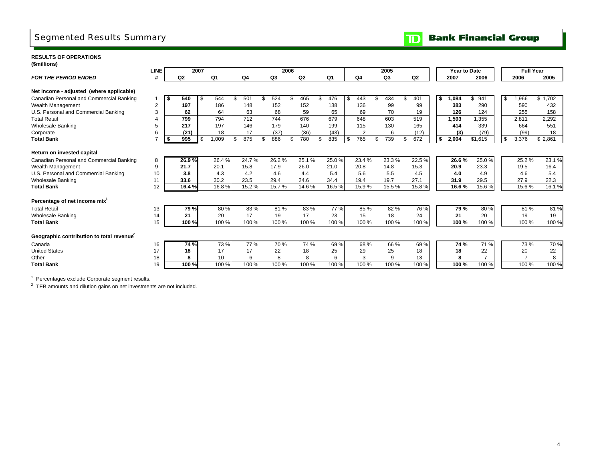## Segmented Results Summary

**TD** Bank Financial Group

### **RESULTS OF OPERATIONS(\$millions)**

|                                           | <b>LINE</b>    |      |                | 2007 |       |       |           | 2006 |                |    |                |    |                | 2005      |    |       | Year to Date |           |      | <b>Full Year</b> |          |
|-------------------------------------------|----------------|------|----------------|------|-------|-------|-----------|------|----------------|----|----------------|----|----------------|-----------|----|-------|--------------|-----------|------|------------------|----------|
| <b>FOR THE PERIOD ENDED</b>               |                |      | Q <sub>2</sub> |      | Q1    | Q4    | Q3        |      | Q <sub>2</sub> |    | Q <sub>1</sub> |    | Q <sub>4</sub> | Q3        |    | Q2    | 2007         | 2006      |      | 2006             | 2005     |
| Net income - adjusted (where applicable)  |                |      |                |      |       |       |           |      |                |    |                |    |                |           |    |       |              |           |      |                  |          |
| Canadian Personal and Commercial Banking  |                | I \$ | 540            | S.   | 544   | 501   | 524       |      | 465            | ۹  | 476            | -S | 443            | 434       | ደ  | 401   | \$<br>1,084  | \$<br>941 | - \$ | .966             | \$1.702  |
| Wealth Management                         | $\overline{2}$ |      | 197            |      | 186   | 148   | 152       |      | 152            |    | 138            |    | 136            | 99        |    | 99    | 383          | 290       |      | 590              | 432      |
| U.S. Personal and Commercial Banking      | 3              |      | 62             |      | 64    | 63    | 68        |      | 59             |    | 65             |    | 69             | 70        |    | 19    | 126          | 124       |      | 255              | 158      |
| <b>Total Retail</b>                       |                |      | 799            |      | 794   | 712   | 744       |      | 676            |    | 679            |    | 648            | 603       |    | 519   | 1,593        | 1,355     |      | 2,811            | 2,292    |
| <b>Wholesale Banking</b>                  | 5              |      | 217            |      | 197   | 146   | 179       |      | 140            |    | 199            |    | 115            | 130       |    | 165   | 414          | 339       |      | 664              | 551      |
| Corporate                                 | 6              |      | (21)           |      | 18    | 17    | (37)      |      | (36)           |    | (43)           |    | $\overline{2}$ | 6         |    | (12)  | (3)          | (79)      |      | (99)             | 18       |
| <b>Total Bank</b>                         |                | I \$ | 995            | \$.  | 1,009 | 875   | \$<br>886 | \$   | 780            | \$ | 835            | \$ | 765            | \$<br>739 | \$ | 672   | \$<br>2,004  | \$1,615   | \$   | 3,376            | \$2,861  |
|                                           |                |      |                |      |       |       |           |      |                |    |                |    |                |           |    |       |              |           |      |                  |          |
| Return on invested capital                |                |      |                |      |       |       |           |      |                |    |                |    |                |           |    |       |              |           |      |                  |          |
| Canadian Personal and Commercial Banking  | 8              |      | 26.9%          |      | 26.4% | 24.7% | 26.2%     |      | 25.1%          |    | 25.0%          |    | 23.4%          | 23.3%     |    | 22.5% | 26.6%        | 25.0%     |      | 25.2%            | $23.1\%$ |
| Wealth Management                         | 9              |      | 21.7           |      | 20.1  | 15.8  | 17.9      |      | 26.0           |    | 21.0           |    | 20.8           | 14.8      |    | 15.3  | 20.9         | 23.3      |      | 19.5             | 16.4     |
| U.S. Personal and Commercial Banking      | 10             |      | 3.8            |      | 4.3   | 4.2   | 4.6       |      | 4.4            |    | 5.4            |    | 5.6            | 5.5       |    | 4.5   | 4.0          | 4.9       |      | 4.6              | 5.4      |
| <b>Wholesale Banking</b>                  | 11             |      | 33.6           |      | 30.2  | 23.5  | 29.4      |      | 24.6           |    | 34.4           |    | 19.4           | 19.7      |    | 27.1  | 31.9         | 29.5      |      | 27.9             | 22.3     |
| <b>Total Bank</b>                         | 12             |      | 16.4%          |      | 16.8% | 15.2% | 15.7%     |      | 14.6%          |    | 16.5%          |    | 15.9%          | 15.5%     |    | 15.8% | 16.6%        | 15.6%     |      | 15.6%            | 16.1%    |
| Percentage of net income mix <sup>1</sup> |                |      |                |      |       |       |           |      |                |    |                |    |                |           |    |       |              |           |      |                  |          |
| <b>Total Retail</b>                       | 13             |      | 79%            |      | 80%   | 83%   | 81%       |      | 83%            |    | 77 %           |    | 85 %           | 82%       |    | 76 %  | 79 %         | 80%       |      | 81 %             | 81%      |
| <b>Wholesale Banking</b>                  | 14             |      | 21             |      | 20    | 17    | 19        |      | 17             |    | 23             |    | 15             | 18        |    | 24    | 21           | 20        |      | 19               | 19       |
| <b>Total Bank</b>                         | 15             |      | 100%           |      | 100 % | 100 % | 100 %     |      | 100 %          |    | 100 %          |    | 100 %          | 100 %     |    | 100 % | 100 %        | 100 %     |      | 100 %            | 100 %    |
|                                           |                |      |                |      |       |       |           |      |                |    |                |    |                |           |    |       |              |           |      |                  |          |
| Geographic contribution to total revenue  |                |      |                |      |       |       |           |      |                |    |                |    |                |           |    |       |              |           |      |                  |          |
| Canada                                    | 16             |      | 74 %           |      | 73 %  | 77 %  | 70 %      |      | 74 %           |    | 69%            |    | 68 %           | 66 %      |    | 69%   | 74 %         | 71 %      |      | 73 %             | 70 %     |
| <b>United States</b>                      | 17             |      | 18             |      | 17    | 17    | 22        |      | 18             |    | 25             |    | 29             | 25        |    | 18    | 18           | 22        |      | 20               | 22       |
| Other                                     | 18             |      | 8              |      | 10    | 6     | 8         |      | 8              |    |                |    | 3              | 9         |    | 13    | 8            |           |      | $\overline{7}$   | 8        |
| <b>Total Bank</b>                         | 19             |      | 100 %          |      | 100 % | 100 % | 100 %     |      | 100 %          |    | 100 %          |    | 100 %          | 100 %     |    | 100 % | 100%         | 100 %     |      | 100 %            | 100 %    |
|                                           |                |      |                |      |       |       |           |      |                |    |                |    |                |           |    |       |              |           |      |                  |          |

1 Percentages exclude Corporate segment results.

<sup>2</sup> TEB amounts and dilution gains on net investments are not included.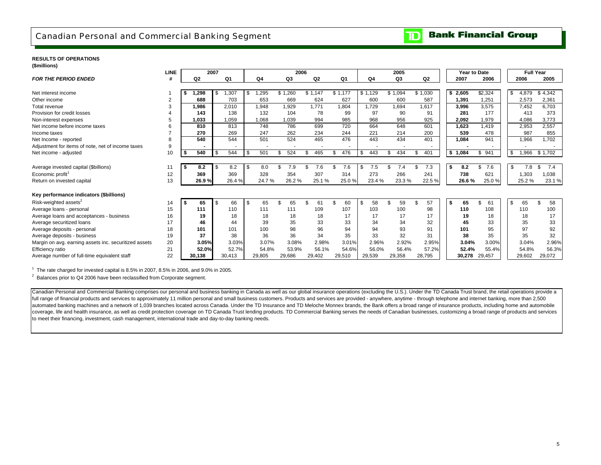

### **RESULTS OF OPERATIONS**

**(\$millions) LINE 2006 2005 Full Year***FOR THE PERIOD ENDEDD* # | Q2 Q1 | Q4 Q3 Q2 Q1 | Q4 Q3 Q2 | | 2007 2006 | 2005 2005 Net interest income 1 **\$ 1,298** \$ 1,295 1,307 \$ 1,260 \$ 1,147 \$ 1,177 \$ 1,129 \$ 1,094 \$ 1,030 \$ **\$ 2,605** \$ 4,879 2,324 \$ 4,342 \$ Other income 2 **688** 653 703 669 624 627 600 600 587 **1,391** 2,573 1,251 2,361 Total revenue 3 **1,986** 1,948 2,010 1,929 1,771 1,804 1,729 1,694 1,617 **3,996** 7,452 3,575 6,703 Provision for credit losses 4 **143** 132 138 104 78 99 97 90 91 **281** 413 177 373 Non-interest expenses 5 **1,033** 1,068 1,059 1,039 994 985 968 956 925 **2,092** 4,086 1,979 3,773 Net income before income taxes 6 **810** 748 813 786 699 720 664 648 601 **1,623** 2,953 1,419 2,557 Income taxes 7 **270** 247 269 262 234 244 221 214 200 **539** 987 478 855 Net Income - reported 8 **540** 501 544 524 465 476 443 434 401 **1,084** 1,966 941 1,702 Adjustment for items of note, net of income taxes <br>Net income - adjusted **1996 - 1997 - 1998 - 1998 - 1998 - 1998 - 1998 - 1998 - 1998 - 1998 - 1998 - 1998 - 1998 - 1999 - 1999 - 1999 - 1999** Net income - adjusted 10 **| \$ 540** | \$ 544 | \$ 501 \$ 524 \$ 465 \$ 476 | \$ 443 \$ 434 \$ 401 | | \$ 1**,084** \$ 941 | | \$ 1,966 \$ 1,702 Average invested capital (\$billions) 11 **\$ 8.2 \$ 8.2 \$ 8.2 \$ 8.0 \$ 7.9 \$ 7.6 \$ 7.5 \$ 7.4 \$ 7.3 \$ 8.2 \$ 7.6 \$ 7.8** \$ 7.4 Economic profit1 12 **<sup>369</sup>** <sup>328</sup> <sup>369</sup> <sup>354</sup> <sup>307</sup> <sup>314</sup> <sup>273</sup> <sup>266</sup> <sup>241</sup> **<sup>738</sup>** 1,303 <sup>621</sup> 1,038 Return on invested capital 13 **26.9 %** 26.4 % 24.7 % 26.2 % 25.1 % 25.0 % 23.4 % 23.3 % 22.5 % **26.6 %** 25.0 % 25.2 % 23.1 % **Key performance indicators (\$billions)** Risk-weighted assets<sup>2</sup> 14 **| \$ 65** | \$ 66 | \$ 65 \$ 65 \$ 61 \$ 65 \$ 57 \$ 57 | | \$ **65** \$ 58 \$ 58 Average loans - personal 15 **111** 111 110 111 109 107 103 100 98 **110** 110 108 100 Average loans and acceptances - business 16 **19** 18 18 18 18 17 17 17 17 **19** 18 18 17 Average securitized loans 17 **46** 39 44 35 33 33 34 34 32 **45** 35 33 33 Average deposits - personal 18 **101** 100 101 98 96 94 94 93 91 **101** 97 95 92 Average deposits - business 19 **37** 36 38 36 34 35 33 32 31 **38** 35 35 32 Margin on avg. earning assets inc. securitized assets 20 **3.05%** 3.03% 3.07% 3.08% 2.98% 3.01% 2.96% 2.92% 2.95% **3.04%** 3.00% 3.04% 2.96% Efficiency ratio 21 **52.0%** 52.7% 54.8% 53.9% 56.1% 54.6% 56.0% 56.4% 57.2% **52.4%** 55.4% 54.8% 56.3% Average number of full-time equivalent staff 22 **30,138** 29,805 30,413 29,686 29,402 29,510 29,539 29,358 28,795 **30,278** 29,457 29,602 29,072 **2007Year to Date**

 $1$  The rate charged for invested capital is 8.5% in 2007, 8.5% in 2006, and 9.0% in 2005.

 $2$  Balances prior to Q4 2006 have been reclassified from Corporate segment.

Canadian Personal and Commercial Banking comprises our personal and business banking in Canada as well as our global insurance operations (excluding the U.S.). Under the TD Canada Trust brand, the retail operations provide full range of financial products and services to approximately 11 million personal and small business customers. Products and services are provided - anywhere, anytime - through telephone and internet banking, more than 2, automated banking machines and a network of 1,039 branches located across Canada. Under the TD Insurance and TD Meloche Monnex brands, the Bank offers a broad range of insurance products, including home and automobile coverage, life and health insurance, as well as credit protection coverage on TD Canada Trust lending products. TD Commercial Banking serves the needs of Canadian businesses, customizing a broad range of products and servi to meet their financing, investment, cash management, international trade and day-to-day banking needs.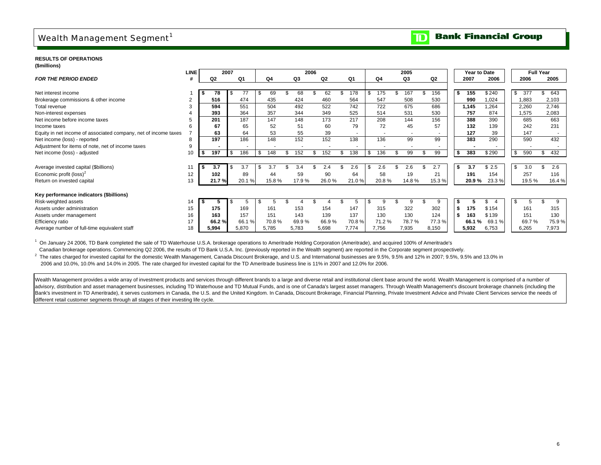## Wealth Management Segment<sup>1</sup>

#### **Bank Financial Group**  $\overline{\mathbf{D}}$

 $\mathcal{L}$ 

#### **RESULTS OF OPERATIONS**

| (\$millions) |
|--------------|
|--------------|

|                                                                 | <b>LINE</b> |             | 2007        |           |       | 2006  |       |           | 2005           |       |      | Year to Date    |           | <b>Full Year</b> |
|-----------------------------------------------------------------|-------------|-------------|-------------|-----------|-------|-------|-------|-----------|----------------|-------|------|-----------------|-----------|------------------|
| <b>FOR THE PERIOD ENDED</b>                                     |             | Q2          | Q1          | Q4        | Q3    | Q2    | Q1    | Q4        | Q <sub>3</sub> | Q2    |      | 2007<br>2006    | 2006      | 2005             |
|                                                                 |             |             |             |           |       |       |       |           |                |       |      |                 |           |                  |
| Net interest income                                             |             | 78          | 77          | 69        | 68    | 62    | 178   | 175       | 167            | 156   | \$   | \$240<br>155    | \$<br>377 | 643<br>\$.       |
| Brokerage commissions & other income                            | 2           | 516         | 474         | 435       | 424   | 460   | 564   | 547       | 508            | 530   |      | 990<br>1,024    | 1,883     | 2,103            |
| Total revenue                                                   |             | 594         | 551         | 504       | 492   | 522   | 742   | 722       | 675            | 686   |      | 1,264<br>1,145  | 2,260     | 2,746            |
| Non-interest expenses                                           |             | 393         | 364         | 357       | 344   | 349   | 525   | 514       | 531            | 530   |      | 757<br>874      | 1,575     | 2,083            |
| Net income before income taxes                                  |             | 201         | 187         | 147       | 148   | 173   | 217   | 208       | 144            | 156   |      | 390<br>388      | 685       | 663              |
| Income taxes                                                    | 6           | 67          | 65          | 52        | 51    | 60    | 79    | 72        | 45             | 57    |      | 139<br>132      | 242       | 231              |
| Equity in net income of associated company, net of income taxes |             | 63          | 64          | 53        | 55    | 39    |       |           |                |       |      | 39<br>127       | 147       |                  |
| Net income (loss) - reported                                    | 8           | 197         | 186         | 148       | 152   | 152   | 138   | 136       | 99             | 99    |      | 290<br>383      | 590       | 432              |
| Adjustment for items of note, net of income taxes               | 9           |             |             |           |       |       |       |           |                |       |      |                 |           |                  |
| Net income (loss) - adjusted                                    | 10          | 197<br>- 56 | 186<br>- \$ | Ŝ.<br>148 | 152   | 152   | 138   | \$<br>136 | 99             | 99    | \$   | 383<br>\$290    | \$<br>590 | 432<br>\$        |
|                                                                 |             |             |             |           |       |       |       |           |                |       |      |                 |           |                  |
| Average invested capital (\$billions)                           |             | 3.7         | 3.7         | 3.7       | 3.4   | 2.4   | 2.6   | \$<br>2.6 | 2.6            | 2.7   | \$   | 3.7<br>\$2.5    | \$<br>3.0 | 2.6              |
| Economic profit (loss) <sup>2</sup>                             | 12          | 102         | 89          | 44        | 59    | 90    | 64    | 58        | 19             | 21    |      | 154<br>191      | 257       | 116              |
| Return on invested capital                                      | 13          | 21.7%       | 20.1%       | 15.8%     | 17.9% | 26.0% | 21.0% | 20.8%     | 14.8%          | 15.3% |      | 20.9%<br>23.3%  | 19.5 %    | 16.4%            |
|                                                                 |             |             |             |           |       |       |       |           |                |       |      |                 |           |                  |
| Key performance indicators (\$billions)                         |             |             |             |           |       |       |       |           |                |       |      |                 |           |                  |
| Risk-weighted assets                                            | 14          |             |             |           |       |       |       |           | q              | 9     |      |                 |           | 9                |
| Assets under administration                                     | 15          | 175         | 169         | 161       | 153   | 154   | 147   | 315       | 322            | 302   | - \$ | 175<br>\$154    | 161       | 315              |
| Assets under management                                         | 16          | 163         | 157         | 151       | 143   | 139   | 137   | 130       | 130            | 124   | \$   | 163<br>\$139    | 151       | 130              |
| Efficiency ratio                                                | 17          | 66.2%       | 66.1%       | 70.8%     | 69.9% | 66.9% | 70.8% | 71.2%     | 78.7%          | 77.3% |      | 69.1 %<br>66.1% | 69.7%     | 75.9%            |
| Average number of full-time equivalent staff                    | 18          | 5,994       | 5,870       | 5,785     | 5,783 | 5,698 | 7,774 | 7,756     | 7,935          | 8,150 |      | 5,932<br>6,753  | 6,265     | 7,973            |

<sup>1</sup> On January 24 2006, TD Bank completed the sale of TD Waterhouse U.S.A. brokerage operations to Ameritrade Holding Corporation (Ameritrade), and acquired 100% of Ameritrade's Canadian brokerage operations. Commencing Q2 2006, the results of TD Bank U.S.A. Inc. (previously reported in the Wealth segment) are reported in the Corporate segment prospectively.

<sup>2</sup> The rates charged for invested capital for the domestic Wealth Management, Canada Discount Brokerage, and U.S. and International businesses are 9.5%, 9.5% and 12% in 2007; 9.5%, 9.5% and 13.0% in 2006 and 10.0%, 10.0% and 14.0% in 2005. The rate charged for invested capital for the TD Ameritrade business line is 11% in 2007 and 12.0% for 2006.

Wealth Management provides a wide array of investment products and services through different brands to a large and diverse retail and institutional client base around the world. Wealth Management is comprised of a number advisory, distribution and asset management businesses, including TD Waterhouse and TD Mutual Funds, and is one of Canada's largest asset managers. Through Wealth Management's discount brokerage channels (including the Bank's investment in TD Ameritrade), it serves customers in Canada, the U.S. and the United Kingdom. In Canada, Discount Brokerage, Financial Planning, Private Investment Advice and Private Client Services service the need different retail customer segments through all stages of their investing life cycle.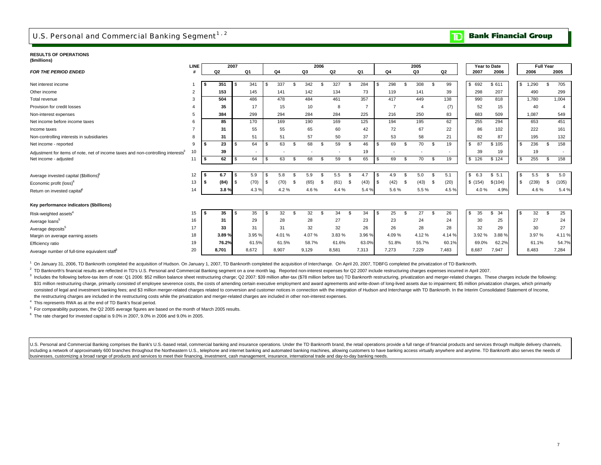## U.S. Personal and Commercial Banking Segment<sup>1,2</sup>

**Bank Financial Group**  $\mathbf{D}$ 

#### **RESULTS OF OPERATIONS(\$millions)**

| ( <del>www.cris</del> )                                                                      | LINE           |     | 2007           |            |        |     |       |      |       | 2006 |       |      |                |    |                |      | 2005           |      |                          |          | Year to Date |           |               | <b>Full Year</b> |       |
|----------------------------------------------------------------------------------------------|----------------|-----|----------------|------------|--------|-----|-------|------|-------|------|-------|------|----------------|----|----------------|------|----------------|------|--------------------------|----------|--------------|-----------|---------------|------------------|-------|
| <b>FOR THE PERIOD ENDED</b>                                                                  |                |     | Q <sub>2</sub> |            | Q1     |     | Q4    |      | Q3    |      | Q2    |      | Q <sub>1</sub> |    | Q4             |      | Q3             |      | Q2                       |          | 2007         | 2006      | 2006          |                  | 2005  |
|                                                                                              |                |     |                |            |        |     |       |      |       |      |       |      |                |    |                |      |                |      |                          |          |              |           |               |                  |       |
| Net interest income                                                                          |                |     | 351            | \$         | 341    |     | 337   |      | 342   |      | 327   |      | 284            | \$ | 298            |      | 308            | - \$ | 99                       | \$.      | 692          | \$611     | 1,290<br>-S   | \$               | 705   |
| Other income                                                                                 | $\overline{2}$ |     | 153            |            | 145    |     | 141   |      | 142   |      | 134   |      | 73             |    | 119            |      | 141            |      | 39                       |          | 298          | 207       | 490           |                  | 299   |
| Total revenue                                                                                | 3              |     | 504            |            | 486    |     | 478   |      | 484   |      | 461   |      | 357            |    | 417            |      | 449            |      | 138                      |          | 990          | 818       | 1,780         |                  | 1,004 |
| Provision for credit losses                                                                  |                |     | 35             |            | 17     |     | 15    |      | 10    |      | 8     |      | $\overline{7}$ |    | $\overline{7}$ |      | $\overline{A}$ |      | (7)                      |          | 52           | 15        | 40            |                  |       |
| Non-interest expenses                                                                        |                |     | 384            |            | 299    |     | 294   |      | 284   |      | 284   |      | 225            |    | 216            |      | 250            |      | 83                       |          | 683          | 509       | 1,087         |                  | 549   |
| Net income before income taxes                                                               |                |     | 85             |            | 170    |     | 169   |      | 190   |      | 169   |      | 125            |    | 194            |      | 195            |      | 62                       |          | 255          | 294       | 653           |                  | 451   |
| Income taxes                                                                                 |                |     | 31             |            | 55     |     | 55    |      | 65    |      | 60    |      | 42             |    | 72             |      | 67             |      | 22                       |          | 86           | 102       | 222           |                  | 161   |
| Non-controlling interests in subsidiaries                                                    | 8              |     | 31             |            | 51     |     | 51    |      | 57    |      | 50    |      | 37             |    | 53             |      | 58             |      | 21                       |          | 82           | 87        | 195           |                  | 132   |
| Net income - reported                                                                        | 9              |     | 23             | \$         | 64     |     | 63    | - \$ | 68    | -96  | 59    | -96  | 46             |    | 69             |      | 70             | - \$ | 19                       | <b>S</b> | 87           | \$105     | 236<br>- \$   | ፍ                | 158   |
| Adjustment for items of note, net of income taxes and non-controlling interests <sup>3</sup> | 10             |     | 39             |            | $\sim$ |     |       |      |       |      |       |      | 19             |    |                |      |                |      | $\overline{\phantom{0}}$ |          | 39           | 19        | 19            |                  |       |
| Net income - adjusted                                                                        | 11             |     | 62             | $\sqrt{3}$ | 64     |     | 63    | \$   | 68    |      | 59    | - \$ | 65             | \$ | 69             |      | 70             | - \$ | 19                       | -S       | 126          | \$124     | 255<br>l \$   | \$               | 158   |
|                                                                                              |                |     |                |            |        |     |       |      |       |      |       |      |                |    |                |      |                |      |                          |          |              |           |               |                  |       |
| Average invested capital (\$billions) <sup>5</sup>                                           | 12             |     | 6.7            | \$         | 5.9    |     | 5.8   | \$   | 5.9   |      | 5.5   |      | 4.7            | \$ | 4.9            |      | 5.0            | - \$ | 5.1                      |          | 6.3<br>S.    | \$5.1     | 5.5<br>- \$   | \$               | 5.0   |
| Economic profit (loss) <sup>6</sup>                                                          | 13             | IS. | (84)           | l \$       | (70)   | l S | (70)  | - \$ | (65)  | -S   | (61)  | - \$ | (43)           | \$ | (42)           | - \$ | (43)           | - \$ | (20)                     |          | \$(154)      | \$(104)   | l \$<br>(239) |                  | (105) |
| Return on invested capital <sup>6</sup>                                                      | 14             |     | 3.8%           |            | 4.3%   |     | 4.2%  |      | 4.6%  |      | 4.4 % |      | 5.4%           |    | 5.6%           |      | 5.5 %          |      | 4.5 %                    |          | 4.0%         | 4.9%      | 4.6%          |                  | 5.4 % |
|                                                                                              |                |     |                |            |        |     |       |      |       |      |       |      |                |    |                |      |                |      |                          |          |              |           |               |                  |       |
| Key performance indicators (\$billions)                                                      |                |     |                |            |        |     |       |      |       |      |       |      |                |    |                |      |                |      |                          |          |              |           |               |                  |       |
| Risk-weighted assets <sup>4</sup>                                                            | 15             |     | 35             | \$.        | 35     |     | 32    | . ፍ  | 32    |      | 34    | - \$ | 34             | s. | 25             |      | 27             | - \$ | 26                       | -S       | 35           | 34<br>\$. | 32            |                  | 25    |
| Average loans <sup>5</sup>                                                                   | 16             |     | 31             |            | 29     |     | 28    |      | 28    |      | 27    |      | 23             |    | 23             |      | 24             |      | 24                       |          | 30           | 25        | 27            |                  | 24    |
| Average deposits <sup>5</sup>                                                                | 17             |     | 33             |            | 31     |     | 31    |      | 32    |      | 32    |      | 26             |    | 26             |      | 28             |      | 28                       |          | 32           | 29        | 30            |                  | 27    |
| Margin on average earning assets                                                             | 18             |     | 3.89%          |            | 3.95%  |     | 4.01% |      | 4.07% |      | 3.83% |      | 3.96%          |    | 4.09%          |      | 4.12%          |      | 4.14 %                   |          | 3.92%        | 3.88%     | 3.97%         |                  | 4.11% |
| Efficiency ratio                                                                             | 19             |     | 76.2%          |            | 61.5%  |     | 61.5% |      | 58.7% |      | 61.6% |      | 63.0%          |    | 51.8%          |      | 55.7%          |      | 60.1%                    |          | 69.0%        | 62.2%     | 61.1%         |                  | 54.7% |
| Average number of full-time equivalent staff <sup>6</sup>                                    | 20             |     | 8,701          |            | 8,672  |     | 8,907 |      | 9,129 |      | 8,581 |      | 7,313          |    | 7,273          |      | 7,229          |      | 7,483                    |          | 8,687        | 7,947     | 8,483         |                  | 7,284 |

1 On January 31, 2006, TD Banknorth completed the acquisition of Hudson. On January 1, 2007, TD Banknorth completed the acquisition of Interchange. On April 20, 2007, TDBFG completed the privatization of TD Banknorth.

<sup>2</sup> TD Banknorth's financial results are reflected in TD's U.S. Personal and Commercial Banking segment on a one month lag. Reported non-interest expenses for Q2 2007 include restructuring charges expenses incurred in Apri

3 Includes the following before-tax item of note: Q1 2006: \$52 million balance sheet restructuring charge; Q2 2007: \$39 million after-tax (\$78 million before tax) TD Banknorth restructuring, privatization and merger-relate \$31 million restructuring charge, primarily consisted of employee severence costs, the costs of amending certain executive employment and award agreements and write-down of long-lived assets due to impairment: \$5 million p consisted of legal and investment banking fees; and \$3 million merger-related charges related to conversion and customer notices in connection with the integration of Hudson and Interchange with TD Banknorth. In the Interi the restructuring charges are included in the restructuring costs while the privatization and merger-related charges are included in other non-interest expenses.

4 This represents RWA as at the end of TD Bank's fiscal period.

5 For comparability purposes, the Q2 2005 average figures are based on the month of March 2005 results.

 $6$  The rate charged for invested capital is  $9.0\%$  in 2007,  $9.0\%$  in 2006 and  $9.0\%$  in 2005.

U.S. Personal and Commercial Banking comprises the Bank's U.S.-based retail, commercial banking and insurance operations. Under the TD Banknorth brand, the retail operations provide a full range of financial products and s including a network of approximately 600 branches throughout the Northeastern U.S., telephone and internet banking and automated banking machines, allowing customers to have banking access virtually anywhere and anytime. T businesses, customizing a broad range of products and services to meet their financing, investment, cash management, insurance, international trade and day-to-day banking needs.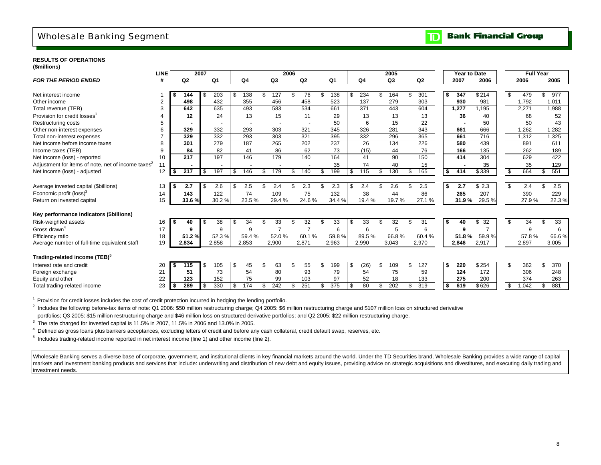## Wholesale Banking Segment

#### **Bank Financial Group** וסד

### **RESULTS OF OPERATIONS**

| (\$millions) |  |  |
|--------------|--|--|
|              |  |  |

|                                                   | <b>LINE</b>    |     | 2007  |      |                          |                          |     |       | 2006 |                          |     |                  |     |       |    | 2005           |     |       | <b>Year to Date</b> |                |     |       | <b>Full Year</b> |       |
|---------------------------------------------------|----------------|-----|-------|------|--------------------------|--------------------------|-----|-------|------|--------------------------|-----|------------------|-----|-------|----|----------------|-----|-------|---------------------|----------------|-----|-------|------------------|-------|
| <b>FOR THE PERIOD ENDED</b>                       | #              |     | Q2    |      | Q1                       | Q4                       |     | Q3    |      | Q2                       |     | Q1               |     | Q4    |    | Q <sub>3</sub> |     | Q2    | 2007                | 2006           |     | 2006  |                  | 2005  |
|                                                   |                |     |       |      |                          |                          |     |       |      |                          |     |                  |     |       |    |                |     |       |                     |                |     |       |                  |       |
| Net interest income                               |                |     | 144   | \$   | 203                      | \$<br>138                | \$. | 127   |      | 76                       |     | 138              | \$  | 234   |    | 164            | \$  | 301   | \$<br>347           | \$214          | \$  | 479   | \$               | 977   |
| Other income                                      | $\overline{2}$ |     | 498   |      | 432                      | 355                      |     | 456   |      | 458                      |     | 523              |     | 137   |    | 279            |     | 303   | 930                 | 981            |     | 1,792 |                  | 1,011 |
| Total revenue (TEB)                               | 3              |     | 642   |      | 635                      | 493                      |     | 583   |      | 534                      |     | 661              |     | 371   |    | 443            |     | 604   | 1,277               | 1.195          |     | 2,271 |                  | 1,988 |
| Provision for credit losses <sup>1</sup>          |                |     | 12    |      | 24                       | 13                       |     | 15    |      | 11                       |     | 29               |     | 13    |    | 13             |     | 13    | 36                  | 40             |     | 68    |                  | 52    |
| Restructuring costs                               | 5              |     |       |      |                          |                          |     |       |      | $\overline{\phantom{a}}$ |     | 50               |     | 6     |    | 15             |     | 22    |                     | 50             |     | 50    |                  | 43    |
| Other non-interest expenses                       | 6              |     | 329   |      | 332                      | 293                      |     | 303   |      | 321                      |     | 345              |     | 326   |    | 281            |     | 343   | 661                 | 666            |     | 1,262 |                  | 1,282 |
| Total non-interest expenses                       |                |     | 329   |      | 332                      | 293                      |     | 303   |      | 321                      |     | 395              |     | 332   |    | 296            |     | 365   | 661                 | 716            |     | 1,312 |                  | 1,325 |
| Net income before income taxes                    | 8              |     | 301   |      | 279                      | 187                      |     | 265   |      | 202                      |     | 237              |     | 26    |    | 134            |     | 226   | 580                 | 439            |     | 891   |                  | 611   |
| Income taxes (TEB)                                | 9              |     | 84    |      | 82                       | 41                       |     | 86    |      | 62                       |     | 73               |     | (15)  |    | 44             |     | 76    | 166                 | 135            |     | 262   |                  | 189   |
| Net income (loss) - reported                      | 10             |     | 217   |      | 197                      | 146                      |     | 179   |      | 140                      |     | 164              |     | 41    |    | 90             |     | 150   | 414                 | 304            |     | 629   |                  | 422   |
| Adjustment for items of note, net of income taxes | 11             |     |       |      | $\overline{\phantom{a}}$ | $\overline{\phantom{a}}$ |     |       |      | $\overline{\phantom{a}}$ |     | 35               |     | 74    |    | 40             |     | 15    |                     | 35             |     | 35    |                  | 129   |
| Net income (loss) - adjusted                      | 12             | -S  | 217   | \$   | 197                      | \$<br>146                | \$. | 179   | £.   | 140                      | \$. | 199              | S   | 115   | \$ | 130            | \$  | 165   | \$<br>414           | \$339          | \$  | 664   | \$               | 551   |
|                                                   |                |     |       |      |                          |                          |     |       |      |                          |     |                  |     |       |    |                |     |       |                     |                |     |       |                  |       |
| Average invested capital (\$billions)             | 13             |     | 2.7   | -\$  | 2.6                      | \$<br>2.5                |     | 2.4   |      | 2.3                      |     | 2.3              |     | 2.4   |    | 2.6            | \$. | 2.5   | \$<br>2.7           | \$2.3          | \$  | 2.4   | \$               | 2.5   |
| Economic profit (loss) <sup>3</sup>               | 14             |     | 143   |      | 122                      | 74                       |     | 109   |      | 75                       |     | 132              |     | 38    |    | 44             |     | 86    | 265                 | 207            |     | 390   |                  | 229   |
| Return on invested capital                        | 15             |     | 33.6% |      | 30.2%                    | 23.5%                    |     | 29.4% |      | 24.6%                    |     | 34.4 %           |     | 19.4% |    | 19.7%          |     | 27.1% | 31.9%               | 29.5%          |     | 27.9% |                  | 22.3% |
|                                                   |                |     |       |      |                          |                          |     |       |      |                          |     |                  |     |       |    |                |     |       |                     |                |     |       |                  |       |
| Key performance indicators (\$billions)           |                |     |       |      |                          |                          |     |       |      |                          |     |                  |     |       |    |                |     |       |                     |                |     |       |                  |       |
| Risk-weighted assets                              | 16             | -\$ | 40    | -\$  | 38                       | \$<br>34                 | £.  | 33    | ደ    | 32                       | \$. | 33               | -\$ | 33    | ደ  | 32             | \$  | 31    | \$<br>40            | 32<br>\$       | \$  | 34    | \$               | 33    |
| Gross drawn <sup>4</sup>                          | 17             |     | 9     |      | 9                        | 9                        |     |       |      |                          |     | 6                |     | 6     |    | 5              |     | 6     | 9                   | $\overline{ }$ |     | 9     |                  | 6     |
| Efficiency ratio                                  | 18             |     | 51.2% |      | 52.3%                    | 59.4%                    |     | 52.0% |      | 60.1%                    |     | 59.8%            |     | 89.5% |    | 66.8%          |     | 60.4% | 51.8                | 59.9%          |     | 57.8% |                  | 66.6% |
| Average number of full-time equivalent staff      | 19             |     | 2.834 |      | 2,858                    | 2.853                    |     | 2,900 |      | 2,871                    |     | 2,963            |     | 2.990 |    | 3.043          |     | 2,970 | 2,846               | 2,917          |     | 2,897 |                  | 3,005 |
|                                                   |                |     |       |      |                          |                          |     |       |      |                          |     |                  |     |       |    |                |     |       |                     |                |     |       |                  |       |
| Trading-related income (TEB) <sup>3</sup>         |                |     |       |      |                          |                          |     |       |      |                          |     |                  |     |       |    |                |     |       |                     |                |     |       |                  |       |
| Interest rate and credit                          | 20             | 5   | 115   | - \$ | 105                      | \$<br>45                 | \$  | 63    |      | 55                       | \$  | 199              | \$  | (26)  | \$ | 109            | \$  | 127   | \$<br>220           | \$254          | -\$ | 362   | \$.              | 370   |
| Foreign exchange                                  | 21             |     | 51    |      | 73                       | 54                       |     | 80    |      | 93                       |     | 79               |     | 54    |    | 75             |     | 59    | 124                 | 172            |     | 306   |                  | 248   |
| Equity and other                                  | 22             |     | 123   |      | 152                      | 75                       |     | 99    |      | 103                      |     | 97               |     | 52    |    | 18             |     | 133   | 275                 | 200            |     | 374   |                  | 263   |
| Total trading-related income                      | 23             | -\$ | 289   | \$   | 330                      | \$<br>174                | \$  | 242   | \$   | 251                      | \$  | $\overline{375}$ | \$  | 80    |    | 202            | \$  | 319   | \$<br>619           | \$626          | \$  | 1,042 | \$               | 881   |
|                                                   |                |     |       |      |                          |                          |     |       |      |                          |     |                  |     |       |    |                |     |       |                     |                |     |       |                  |       |

<sup>1</sup> Provision for credit losses includes the cost of credit protection incurred in hedging the lending portfolio.

<sup>2</sup> Includes the following before-tax items of note: Q1 2006: \$50 million restructuring charge; Q4 2005: \$6 million restructuring charge and \$107 million loss on structured derivative portfolios; Q3 2005: \$15 million restructuring charge and \$46 million loss on structured derivative portfolios; and Q2 2005: \$22 million restructuring charge.

 $3$  The rate charged for invested capital is 11.5% in 2007, 11.5% in 2006 and 13.0% in 2005.

<sup>4</sup> Defined as gross loans plus bankers acceptances, excluding letters of credit and before any cash collateral, credit default swap, reserves, etc.

5 Includes trading-related income reported in net interest income (line 1) and other income (line 2).

Wholesale Banking serves a diverse base of corporate, government, and institutional clients in key financial markets around the world. Under the TD Securities brand, Wholesale Banking provides a wide range of capital markets and investment banking products and services that include: underwriting and distribution of new debt and equity issues, providing advice on strategic acquisitions and divestitures, and executing daily trading and investment needs.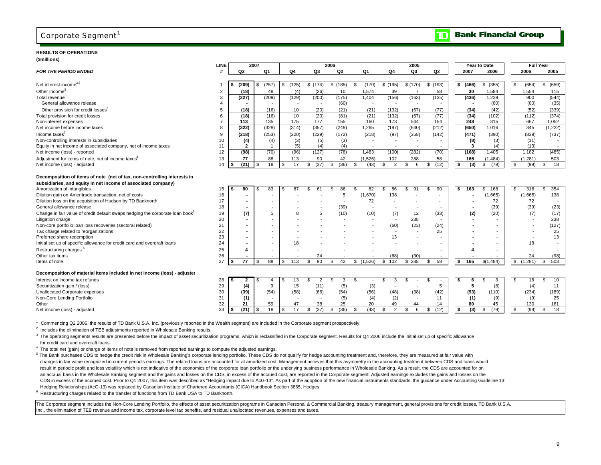### Corporate Segment<sup>1</sup>

#### **RESULTS OF OPERATIONS**

### **(\$millions)**

|                                                                                           | <b>LINE</b>           |                | 2007           |                          |                          |                              | 2006           |    |             |                      | 2005                     |                          |    |          | Year to Date             |          |               | <b>Full Year</b>         |
|-------------------------------------------------------------------------------------------|-----------------------|----------------|----------------|--------------------------|--------------------------|------------------------------|----------------|----|-------------|----------------------|--------------------------|--------------------------|----|----------|--------------------------|----------|---------------|--------------------------|
| <b>FOR THE PERIOD ENDED</b>                                                               | #                     | Q <sub>2</sub> |                | Q1                       | Q4                       | Q3                           | Q <sub>2</sub> |    | Q1          | Q4                   | Q3                       | Q <sub>2</sub>           |    | 2007     | 2006                     |          | 2006          | 2005                     |
|                                                                                           |                       |                |                |                          |                          |                              |                |    |             |                      |                          |                          |    |          |                          |          |               |                          |
| Net interest income <sup>2,3</sup>                                                        |                       | (209)<br>S     | \$             | (257)                    | \$<br>(125)              | \$(174)                      | \$(185)        | \$ | (170)       | \$ (195)             | \$(170)                  | \$(193)                  |    | \$ (466) | \$ (355)                 | \$       | (654)         | \$<br>(659)              |
| Other Income <sup>3</sup>                                                                 | $\overline{2}$        | (18)           |                | 48                       | (4)                      | (26)                         | 10             |    | 1.574       | 39                   | $\overline{7}$           | 58                       |    | 30       | 1,584                    |          | 1,554         | 115                      |
| Total revenue                                                                             | 3                     | (227)          |                | (209)                    | (129)                    | (200)                        | (175)          |    | 1.404       | (156)                | (163)                    | (135)                    |    | (436)    | 1,229                    |          | 900           | (544)                    |
| General allowance release                                                                 | $\boldsymbol{\Delta}$ |                |                |                          | $\overline{\phantom{a}}$ | $\overline{\phantom{a}}$     | (60)           |    |             |                      | $\overline{\phantom{a}}$ |                          |    |          | (60)                     |          | (60)          | (35)                     |
| Other provision for credit losses <sup>3</sup>                                            | 5                     | (18)           |                | (16)                     | 10                       | (20)                         | (21)           |    | (21)        | (132)                | (67)                     | (77)                     |    | (34)     | (42)                     |          | (52)          | (339)                    |
| Total provision for credit losses                                                         | 6                     | (18)           |                | (16)                     | 10                       | (20)                         | (81)           |    | (21)        | (132)                | (67)                     | (77)                     |    | (34)     | (102)                    |          | (112)         | (374)                    |
| Non-interest expenses                                                                     | $\overline{7}$        | 113            |                | 135                      | 175                      | 177                          | 155            |    | 160         | 173                  | 544                      | 154                      |    | 248      | 315                      |          | 667           | 1,052                    |
| Net income before income taxes                                                            | 8                     | (322)          |                | (328)                    | (314)                    | (357)                        | (249)          |    | 1,265       | (197)                | (640)                    | (212)                    |    | (650)    | 1,016                    |          | 345           | (1, 222)                 |
| Income taxes $2$                                                                          | 9                     | (218)          |                | (253)                    | (220)                    | (229)                        | (172)          |    | (218)       | (97)                 | (358)                    | (142)                    |    | (471)    | (390)                    |          | (839)         | (737)                    |
| Non-controlling interests in subsidiaries                                                 | 10                    | (4)            |                | (4)                      | (3)                      | (5)                          | (3)            |    |             |                      |                          |                          |    | (8)      | (3)                      |          | (11)          |                          |
| Equity in net income of associated company, net of income taxes                           | 11                    | $\overline{2}$ |                | $\overline{1}$           | (5)                      | (4)                          | (4)            |    |             |                      |                          |                          |    | 3        | (4)                      |          | (13)          | $\sim$                   |
| Net income (loss) - reported                                                              | 12                    | (98)           |                | (70)                     | (96)                     | (127)                        | (78)           |    | 1.483       | (100)                | (282)                    | (70)                     |    | (168)    | 1.405                    |          | 1.182         | (485)                    |
| Adjustment for items of note, net of income taxes <sup>4</sup>                            | 13                    | 77             |                | 88                       | 113                      | 90                           | 42             |    | (1,526)     | 102                  | 288                      | 58                       |    | 165      | (1, 484)                 |          | (1, 281)      | 503                      |
| Net income (loss) - adjusted                                                              | 14                    | (21)<br>\$     | $\overline{1}$ | 18                       | \$<br>17                 | (37)<br>\$                   | (36)<br>\$     | \$ | (43)        | $\overline{2}$<br>\$ | \$<br>6                  | \$<br>(12)               | \$ | (3)      | \$<br>(79)               | <b>S</b> | (99)          | 18<br>\$                 |
|                                                                                           |                       |                |                |                          |                          |                              |                |    |             |                      |                          |                          |    |          |                          |          |               |                          |
| Decomposition of items of note (net of tax, non-controlling interests in                  |                       |                |                |                          |                          |                              |                |    |             |                      |                          |                          |    |          |                          |          |               |                          |
| subsidiaries, and equity in net income of associated company)                             |                       |                |                |                          |                          |                              |                |    |             |                      |                          |                          |    |          |                          |          |               |                          |
| Amortization of intangibles                                                               | 15                    | 80<br>S        |                | 83                       | 87<br>£.                 | 61                           | 86<br>\$.      | £. | 82          | 86                   | \$.<br>91                | 90<br>\$                 | S  | 163      | 168<br>\$.               |          | 316           | 354<br>£.                |
| Dilution gain on Ameritrade transaction, net of costs                                     | 16                    |                |                |                          |                          |                              | 5              |    | (1,670)     | 138                  |                          |                          |    |          | (1,665)                  |          | (1,665)       | 138                      |
| Dilution loss on the acquisition of Hudson by TD Banknorth                                | 17                    |                |                | $\overline{\phantom{a}}$ |                          |                              |                |    | 72          |                      |                          |                          |    |          | 72                       |          | 72            | $\overline{\phantom{a}}$ |
| General allowance release                                                                 | 18                    |                |                | $\overline{\phantom{a}}$ |                          |                              | (39)           |    |             |                      | $\overline{\phantom{a}}$ |                          |    |          | (39)                     |          | (39)          | (23)                     |
| Change in fair value of credit default swaps hedging the corporate loan book <sup>5</sup> | 19                    | (7)            |                | $\overline{5}$           |                          | 5                            | (10)           |    | (10)        | (7)                  | 12                       | (33)                     |    | (2)      | (20)                     |          | (7)           | (17)                     |
| Litigation charge                                                                         | 20                    |                |                |                          |                          |                              |                |    |             |                      | 238                      |                          |    |          |                          |          |               | 238                      |
| Non-core portfolio loan loss recoveries (sectoral related)                                | 21                    |                |                | $\overline{\phantom{a}}$ |                          |                              |                |    |             | (60)                 | (23)                     | (24)                     |    |          | $\overline{\phantom{0}}$ |          |               | (127)                    |
| Tax charge related to reorganizations                                                     | 22                    |                |                | $\overline{\phantom{a}}$ |                          |                              |                |    |             |                      |                          | 25                       |    |          |                          |          |               | 25                       |
| Preferred share redemption                                                                | 23                    |                |                | $\overline{\phantom{a}}$ |                          |                              |                |    |             | 13                   |                          |                          |    |          | $\overline{\phantom{a}}$ |          |               | 13                       |
| Initial set up of specific allowance for credit card and overdraft loans                  | 24                    |                |                | $\overline{\phantom{a}}$ | 18                       |                              |                |    |             |                      |                          |                          |    |          |                          |          | 18            |                          |
| Restructuring charges <sup>6</sup>                                                        | 25                    | Δ              |                | $\overline{\phantom{a}}$ |                          |                              |                |    | $\sim$      |                      |                          | $\overline{\phantom{0}}$ |    |          |                          |          |               |                          |
| Other tax items<br>Items of note                                                          | 26<br>27              | 77             | -96            | 88                       | 113                      | 24<br>90<br>\$.              |                |    | (1,526)     | (68)<br>102          | (30)<br>\$288            | 58                       |    | 165      | \$(1,484)                |          | 24<br>(1,281) | (98)<br>503              |
|                                                                                           |                       |                |                |                          | \$                       |                              | 42<br>\$.      | \$ |             | \$                   |                          | \$                       | \$ |          |                          | \$       |               | \$                       |
| Decomposition of material items included in net income (loss) - adjusted                  |                       |                |                |                          |                          |                              |                |    |             |                      |                          |                          |    |          |                          |          |               |                          |
|                                                                                           |                       |                |                |                          |                          |                              | 3              |    |             |                      |                          |                          |    |          |                          |          |               |                          |
| Interest on income tax refunds                                                            | 28<br>29              | $\mathbf{2}$   |                | 4<br>9                   | 13<br>S.<br>15           | $\overline{2}$<br>\$<br>(11) | \$             | \$ |             | 3                    | \$                       | \$.<br>5                 |    | 6<br>5   | 3                        | - \$     | 18            | 10<br>9<br>11            |
| Securitization gain / (loss)<br>Unallocated Corporate expenses                            | 30                    | (4)<br>(39)    |                | (54)                     | (58)                     | (66)                         | (5)<br>(54)    |    | (3)<br>(56) | (48)                 | (38)                     | (42)                     |    | (93)     | (8)<br>(110)             |          | (4)<br>(234)  | (189)                    |
| Non-Core Lending Portfolio                                                                | 31                    | (1)            |                | $\overline{\phantom{a}}$ |                          | $\overline{\phantom{a}}$     | (5)            |    | (4)         | (2)                  | $\overline{\phantom{a}}$ | 11                       |    | (1)      | (9)                      |          | (9)           | 25                       |
| Other                                                                                     | 32                    | 21             |                | 59                       | 47                       | 38                           | 25             |    | 20          | 49                   | 44                       | 14                       |    | 80       | 45                       |          | 130           | 161                      |
| Net income (loss) - adjusted                                                              | 33                    | (21)           |                | 18                       | 17<br>\$                 | (37)<br>\$                   | (36)<br>\$.    | \$ | (43)        | 2<br>\$.             | 6<br>\$                  | (12)<br>\$               | \$ | (3)      | (79)<br>\$               | - \$     | (99)          | 18<br>£.                 |
|                                                                                           |                       |                |                |                          |                          |                              |                |    |             |                      |                          |                          |    |          |                          |          |               |                          |

1 Commencing Q2 2006, the results of TD Bank U.S.A. Inc. (previously reported in the Wealth segment) are included in the Corporate segment prospectively.

<sup>2</sup> Includes the elimination of TEB adjustments reported in Wholesale Banking results.

<sup>3</sup> The operating segments results are presented before the impact of asset securitization programs, which is reclassified in the Corporate segment. Results for Q4 2006 include the initial set up of specific allowance for credit card and overdraft loans.

 $4$  The total net (gain) or charge of items of note is removed from reported earnings to compute the adjusted earnings.

<sup>5</sup> The Bank purchases CDS to hedge the credit risk in Wholesale Banking's corporate lending portfolio. These CDS do not qualify for hedge accounting treatment and, therefore, they are measured at fair value with changes in fair value recognized in current period's earnings. The related loans are accounted for at amortized cost. Management believes that this asymmetry in the accounting treatment between CDS and loans would result in periodic profit and loss volatility which is not indicative of the economics of the corporate loan portfolio or the underlying business performance in Wholesale Banking. As a result, the CDS are accounted for on an accrual basis in the Wholesale Banking segment and the gains and losses on the CDS, in excess of the accrued cost, are reported in the Corporate segment. Adjusted earnings excludes the gains and losses on the CDS in excess of the accrued cost. Prior to Q1 2007, this item was described as "Hedging impact due to AcG-13". As part of the adoption of the new financial instruments standards, the guidance under Accounting Guideline 13: Hedging Relationships (AcG-13) was replaced by Canadian Institute of Chartered Accountants (CICA) Handbook Section 3865, Hedges.

 $6$  Restructuring charges related to the transfer of functions from TD Bank USA to TD Banknorth.

The Corporate segment includes the Non-Core Lending Portfolio, the effects of asset securitization programs in Canadian Personal & Commercial Banking, treasury management, general provisions for credit losses, TD Bank U.S. Inc., the elimination of TEB revenue and income tax, corporate level tax benefits, and residual unallocated revenues, expenses and taxes.

#### **Bank Financial Group**  $\blacksquare$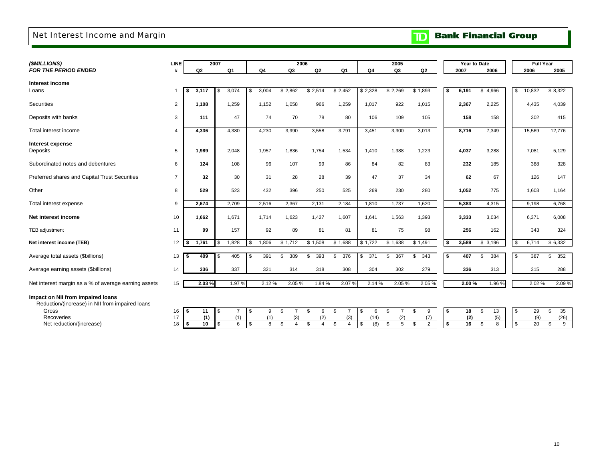# Net Interest Income and Margin

|  |  | <b>TD</b> Bank Financial Group |  |
|--|--|--------------------------------|--|
|--|--|--------------------------------|--|

| (\$MILLIONS)                                                                         | LINE           |      |       | 2007 |                |    |       | 2006                 |                      |                      |            | 2005                 |                      |      | Year to Date |             |             | <b>Full Year</b> |           |
|--------------------------------------------------------------------------------------|----------------|------|-------|------|----------------|----|-------|----------------------|----------------------|----------------------|------------|----------------------|----------------------|------|--------------|-------------|-------------|------------------|-----------|
| <b>FOR THE PERIOD ENDED</b>                                                          | #              |      | Q2    |      | Q1             |    | Q4    | Q3                   | Q <sub>2</sub>       | Q1                   | Q4         | Q3                   | Q <sub>2</sub>       |      | 2007         | 2006        |             | 2006             | 2005      |
|                                                                                      |                |      |       |      |                |    |       |                      |                      |                      |            |                      |                      |      |              |             |             |                  |           |
| Interest income<br>Loans                                                             | $\mathbf{1}$   | \$   | 3.117 | \$   | 3,074          | \$ | 3,004 | \$2,862              | \$2,514              | \$2,452              | \$2,328    | \$2,269              | \$1,893              | \$   | 6,191        | 4,966<br>\$ | \$          | 10,832           | \$8,322   |
|                                                                                      |                |      |       |      |                |    |       |                      |                      |                      |            |                      |                      |      |              |             |             |                  |           |
| Securities                                                                           | $\overline{2}$ |      | 1,108 |      | 1,259          |    | 1,152 | 1,058                | 966                  | 1,259                | 1,017      | 922                  | 1,015                |      | 2,367        | 2,225       |             | 4,435            | 4,039     |
|                                                                                      |                |      |       |      |                |    |       |                      |                      |                      |            |                      |                      |      |              |             |             |                  |           |
| Deposits with banks                                                                  | 3              |      | 111   |      | 47             |    | 74    | 70                   | 78                   | 80                   | 106        | 109                  | 105                  |      | 158          | 158         |             | 302              | 415       |
| Total interest income                                                                | $\overline{4}$ |      | 4,336 |      | 4,380          |    | 4,230 | 3,990                | 3,558                | 3,791                | 3,451      | 3,300                | 3,013                |      | 8,716        | 7,349       |             | 15,569           | 12,776    |
|                                                                                      |                |      |       |      |                |    |       |                      |                      |                      |            |                      |                      |      |              |             |             |                  |           |
| <b>Interest expense</b>                                                              |                |      |       |      |                |    |       |                      |                      |                      |            |                      |                      |      |              |             |             |                  |           |
| Deposits                                                                             | 5              |      | 1,989 |      | 2,048          |    | 1,957 | 1,836                | 1,754                | 1,534                | 1,410      | 1,388                | 1,223                |      | 4,037        | 3,288       |             | 7,081            | 5,129     |
| Subordinated notes and debentures                                                    | 6              |      | 124   |      | 108            |    | 96    | 107                  | 99                   | 86                   | 84         | 82                   | 83                   |      | 232          | 185         |             | 388              | 328       |
|                                                                                      |                |      |       |      |                |    |       |                      |                      |                      |            |                      |                      |      |              |             |             |                  |           |
| Preferred shares and Capital Trust Securities                                        | $\overline{7}$ |      | 32    |      | 30             |    | 31    | 28                   | 28                   | 39                   | 47         | 37                   | 34                   |      | 62           | 67          |             | 126              | 147       |
|                                                                                      |                |      |       |      |                |    |       |                      |                      |                      |            |                      |                      |      |              |             |             |                  |           |
| Other                                                                                | 8              |      | 529   |      | 523            |    | 432   | 396                  | 250                  | 525                  | 269        | 230                  | 280                  |      | 1,052        | 775         |             | 1,603            | 1,164     |
| Total interest expense                                                               | 9              |      | 2,674 |      | 2,709          |    | 2,516 | 2,367                | 2,131                | 2,184                | 1,810      | 1,737                | 1,620                |      | 5,383        | 4,315       |             | 9,198            | 6,768     |
|                                                                                      |                |      |       |      |                |    |       |                      |                      |                      |            |                      |                      |      |              |             |             |                  |           |
| Net interest income                                                                  | 10             |      | 1,662 |      | 1,671          |    | 1,714 | 1,623                | 1,427                | 1,607                | 1,641      | 1,563                | 1,393                |      | 3,333        | 3,034       |             | 6,371            | 6,008     |
| <b>TEB</b> adjustment                                                                | 11             |      | 99    |      | 157            |    | 92    | 89                   | 81                   | 81                   | 81         | 75                   | 98                   |      | 256          | 162         |             | 343              | 324       |
|                                                                                      |                |      |       |      |                |    |       |                      |                      |                      |            |                      |                      |      |              |             |             |                  |           |
| Net interest income (TEB)                                                            | 12             | £.   | 1,761 | \$   | 1,828          | S. | 1,806 | \$1,712              | \$1,508              | \$1,688              | \$1,722    | \$1,638              | \$1,491              | - \$ | 3,589        | \$3,196     | \$          | 6,714            | \$6,332   |
|                                                                                      |                |      |       |      |                |    |       |                      |                      |                      |            |                      |                      |      |              |             |             |                  |           |
| Average total assets (\$billions)                                                    | 13             | - \$ | 409   | \$   | 405            | \$ | 391   | 389<br>\$            | 393<br>\$            | 376<br>\$            | 371<br>\$. | \$<br>367            | \$<br>343            | \$   | 407          | 384<br>\$   | S.          | 387              | \$<br>352 |
| Average earning assets (\$billions)                                                  | 14             |      | 336   |      | 337            |    | 321   | 314                  | 318                  | 308                  | 304        | 302                  | 279                  |      | 336          | 313         |             | 315              | 288       |
|                                                                                      |                |      |       |      |                |    |       |                      |                      |                      |            |                      |                      |      |              |             |             |                  |           |
| Net interest margin as a % of average earning assets                                 | 15             |      | 2.03% |      | 1.97 %         |    | 2.12% | 2.05%                | 1.84 %               | 2.07 %               | 2.14 %     | 2.05 %               | 2.05 %               |      | 2.00%        | 1.96 %      |             | 2.02%            | 2.09%     |
|                                                                                      |                |      |       |      |                |    |       |                      |                      |                      |            |                      |                      |      |              |             |             |                  |           |
| Impact on NII from impaired loans<br>Reduction/(increase) in NII from impaired loans |                |      |       |      |                |    |       |                      |                      |                      |            |                      |                      |      |              |             |             |                  |           |
| Gross                                                                                | 16             | - \$ | 11    | \$   | $\overline{7}$ | \$ | 9     | \$<br>$\overline{7}$ | \$<br>6              | \$<br>$\overline{7}$ | \$<br>6    | \$<br>$\overline{7}$ | \$<br>9              | \$   | 18           | 13<br>\$    | \$          | 29               | \$<br>35  |
| Recoveries                                                                           | 17             |      | (1)   |      | (1)            |    | (1)   | (3)                  | (2)                  | (3)                  | (14)       | (2)                  | (7)                  |      | (2)          | (5)         |             | (9)              | (26)      |
| Net reduction/(increase)                                                             | 18             | l \$ | 10    | \$   | 6              | \$ | 8     | \$<br>$\overline{4}$ | \$<br>$\overline{4}$ | \$<br>$\overline{4}$ | \$<br>(8)  | $\mathfrak s$<br>5   | \$<br>$\overline{2}$ | \$   | 16           | \$<br>8     | $\mathbb S$ | 20               | \$<br>9   |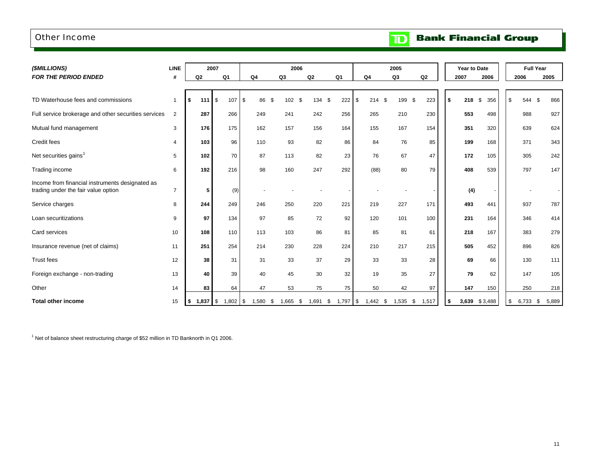### Other Income

| <b>TD</b> Bank Financial Group |
|--------------------------------|
|                                |

| (\$MILLIONS)                                                                           | <b>LINE</b>    |            | 2007    |                |                  |      | 2006           |        |                   |                | 2005       |                |      | Year to Date |           |             | <b>Full Year</b> |
|----------------------------------------------------------------------------------------|----------------|------------|---------|----------------|------------------|------|----------------|--------|-------------------|----------------|------------|----------------|------|--------------|-----------|-------------|------------------|
| <b>FOR THE PERIOD ENDED</b>                                                            | #              | Q2         |         | Q <sub>1</sub> | Q <sub>4</sub>   |      | Q <sub>3</sub> | Q2     | Q <sub>1</sub>    | Q <sub>4</sub> | Q3         | Q <sub>2</sub> |      | 2007         | 2006      | 2006        | 2005             |
|                                                                                        |                |            |         |                |                  |      |                |        |                   |                |            |                |      |              |           |             |                  |
| TD Waterhouse fees and commissions                                                     | $\overline{1}$ |            | $111 \$ | 107            | $\sqrt{3}$<br>86 | - \$ | 102<br>\$      | 134 \$ | 222               | \$<br>214S     | 199 \$     | 223            | \$   | 218          | \$<br>356 | \$<br>544   | 866<br>\$        |
| Full service brokerage and other securities services                                   | 2              | 287        |         | 266            | 249              |      | 241            | 242    | 256               | 265            | 210        | 230            |      | 553          | 498       | 988         | 927              |
| Mutual fund management                                                                 | 3              |            | 176     | 175            | 162              |      | 157            | 156    | 164               | 155            | 167        | 154            |      | 351          | 320       | 639         | 624              |
| Credit fees                                                                            | 4              |            | 103     | 96             | 110              |      | 93             | 82     | 86                | 84             | 76         | 85             |      | 199          | 168       | 371         | 343              |
| Net securities gains <sup>1</sup>                                                      | 5              |            | 102     | 70             | 87               |      | 113            | 82     | 23                | 76             | 67         | 47             |      | 172          | 105       | 305         | 242              |
| Trading income                                                                         | 6              |            | 192     | 216            | 98               |      | 160            | 247    | 292               | (88)           | 80         | 79             |      | 408          | 539       | 797         | 147              |
| Income from financial instruments designated as<br>trading under the fair value option | $\overline{7}$ |            | 5       | (9)            |                  |      |                |        |                   |                |            |                |      | (4)          |           |             |                  |
| Service charges                                                                        | 8              |            | 244     | 249            | 246              |      | 250            | 220    | 221               | 219            | 227        | 171            |      | 493          | 441       | 937         | 787              |
| Loan securitizations                                                                   | 9              |            | 97      | 134            | 97               |      | 85             | 72     | 92                | 120            | 101        | 100            |      | 231          | 164       | 346         | 414              |
| Card services                                                                          | 10             | 108        |         | 110            | 113              |      | 103            | 86     | 81                | 85             | 81         | 61             |      | 218          | 167       | 383         | 279              |
| Insurance revenue (net of claims)                                                      | 11             | 251        |         | 254            | 214              |      | 230            | 228    | 224               | 210            | 217        | 215            |      | 505          | 452       | 896         | 826              |
| <b>Trust fees</b>                                                                      | 12             |            | 38      | 31             | 31               |      | 33             | 37     | 29                | 33             | 33         | 28             |      | 69           | 66        | 130         | 111              |
| Foreign exchange - non-trading                                                         | 13             |            | 40      | 39             | 40               |      | 45             | 30     | 32                | 19             | 35         | 27             |      | 79           | 62        | 147         | 105              |
| Other                                                                                  | 14             |            | 83      | 64             | 47               |      | 53             | 75     | 75                | 50             | 42         | 97             |      | 147          | 150       | 250         | 218              |
| <b>Total other income</b>                                                              | 15             | $1,837$ \$ |         | $1,802$ \$     | 1,580            | - \$ | 1,665<br>- \$  | 1,691  | $1,797$ \$<br>-\$ | $1,442$ \$     | $1,535$ \$ | 1,517          | - \$ | 3,639        | \$3,488   | \$<br>6,733 | 5,889<br>- \$    |

 $1$  Net of balance sheet restructuring charge of \$52 million in TD Banknorth in Q1 2006.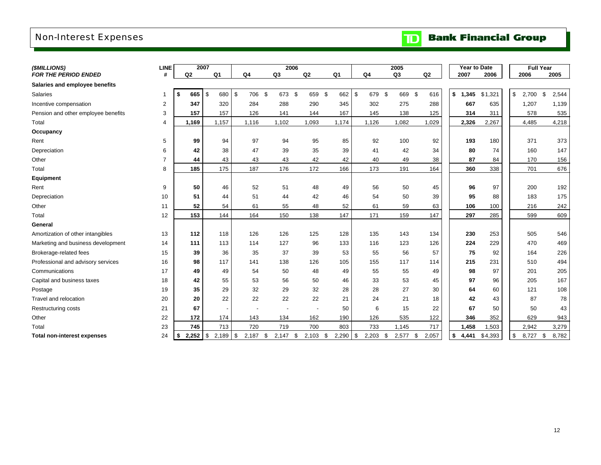# Non-Interest Expenses

|  |  | <b>TD</b> Bank Financial Group |  |
|--|--|--------------------------------|--|
|--|--|--------------------------------|--|

| (\$MILLIONS)                        | <b>LINE</b>    | 2007        |               |                    | 2006           |                          |       |                | 2005        |                |             | Year to Date | <b>Full Year</b> |             |
|-------------------------------------|----------------|-------------|---------------|--------------------|----------------|--------------------------|-------|----------------|-------------|----------------|-------------|--------------|------------------|-------------|
| FOR THE PERIOD ENDED                | #              | Q2          | Q1            | Q4                 | Q <sub>3</sub> | Q <sub>2</sub>           | Q1    | Q <sub>4</sub> | Q3          | Q <sub>2</sub> | 2007        | 2006         | 2006             | 2005        |
| Salaries and employee benefits      |                |             |               |                    |                |                          |       |                |             |                |             |              |                  |             |
| Salaries                            | 1              | 665         | \$<br>680     | \$<br>706          | \$<br>673 \$   | 659 \$                   | 662   | \$<br>679      | -\$<br>669  | -\$<br>616     | \$<br>1,345 | \$1,321      | \$<br>2,700      | \$<br>2,544 |
| Incentive compensation              | $\overline{2}$ | 347         | 320           | 284                | 288            | 290                      | 345   | 302            | 275         | 288            | 667         | 635          | 1,207            | 1,139       |
| Pension and other employee benefits | 3              | 157         | 157           | 126                | 141            | 144                      | 167   | 145            | 138         | 125            | 314         | 311          | 578              | 535         |
| Total                               | 4              | 1,169       | 1.157         | 1,116              | 1,102          | 1,093                    | 1,174 | 1,126          | 1,082       | 1,029          | 2,326       | 2,267        | 4,485            | 4,218       |
| Occupancy                           |                |             |               |                    |                |                          |       |                |             |                |             |              |                  |             |
| Rent                                | 5              | 99          | 94            | 97                 | 94             | 95                       | 85    | 92             | 100         | 92             | 193         | 180          | 371              | 373         |
| Depreciation                        | 6              | 42          | 38            | 47                 | 39             | 35                       | 39    | 41             | 42          | 34             | 80          | 74           | 160              | 147         |
| Other                               | $\overline{7}$ | 44          | 43            | 43                 | 43             | 42                       | 42    | 40             | 49          | 38             | 87          | 84           | 170              | 156         |
| Total                               | 8              | 185         | 175           | 187                | 176            | 172                      | 166   | 173            | 191         | 164            | 360         | 338          | 701              | 676         |
| Equipment                           |                |             |               |                    |                |                          |       |                |             |                |             |              |                  |             |
| Rent                                | 9              | 50          | 46            | 52                 | 51             | 48                       | 49    | 56             | 50          | 45             | 96          | 97           | 200              | 192         |
| Depreciation                        | 10             | 51          | 44            | 51                 | 44             | 42                       | 46    | 54             | 50          | 39             | 95          | 88           | 183              | 175         |
| Other                               | 11             | 52          | 54            | 61                 | 55             | 48                       | 52    | 61             | 59          | 63             | 106         | 100          | 216              | 242         |
| Total                               | 12             | 153         | 144           | 164                | 150            | 138                      | 147   | 171            | 159         | 147            | 297         | 285          | 599              | 609         |
| General                             |                |             |               |                    |                |                          |       |                |             |                |             |              |                  |             |
| Amortization of other intangibles   | 13             | 112         | 118           | 126                | 126            | 125                      | 128   | 135            | 143         | 134            | 230         | 253          | 505              | 546         |
| Marketing and business development  | 14             | 111         | 113           | 114                | 127            | 96                       | 133   | 116            | 123         | 126            | 224         | 229          | 470              | 469         |
| Brokerage-related fees              | 15             | 39          | 36            | 35                 | 37             | 39                       | 53    | 55             | 56          | 57             | 75          | 92           | 164              | 226         |
| Professional and advisory services  | 16             | 98          | 117           | 141                | 138            | 126                      | 105   | 155            | 117         | 114            | 215         | 231          | 510              | 494         |
| Communications                      | 17             | 49          | 49            | 54                 | 50             | 48                       | 49    | 55             | 55          | 49             | 98          | 97           | 201              | 205         |
| Capital and business taxes          | 18             | 42          | 55            | 53                 | 56             | 50                       | 46    | 33             | 53          | 45             | 97          | 96           | 205              | 167         |
| Postage                             | 19             | 35          | 29            | 32                 | 29             | 32                       | 28    | 28             | 27          | 30             | 64          | 60           | 121              | 108         |
| Travel and relocation               | 20             | 20          | 22            | 22                 | 22             | 22                       | 21    | 24             | 21          | 18             | 42          | 43           | 87               | 78          |
| <b>Restructuring costs</b>          | 21             | 67          |               |                    |                | $\overline{\phantom{a}}$ | 50    | 6              | 15          | 22             | 67          | 50           | 50               | 43          |
| Other                               | 22             | 172         | 174           | 143                | 134            | 162                      | 190   | 126            | 535         | 122            | 346         | 352          | 629              | 943         |
| Total                               | 23             | 745         | 713           | 720                | 719            | 700                      | 803   | 733            | 1,145       | 717            | 1,458       | 1,503        | 2,942            | 3,279       |
| <b>Total non-interest expenses</b>  | 24             | \$<br>2,252 | l \$<br>2,189 | <b>\$</b><br>2,187 | \$<br>2,147    | \$<br>$2,103$ \$         | 2,290 | \$<br>2,203    | \$<br>2,577 | 2,057<br>-\$   | \$<br>4,441 | \$4,393      | \$<br>8,727      | 8,782<br>\$ |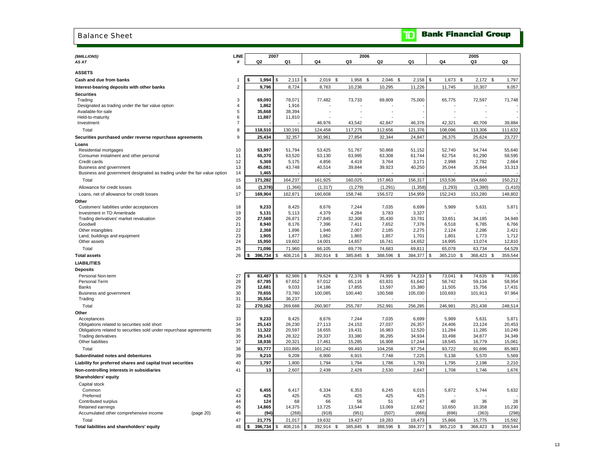### Balance Sheet

# **TD** Bank Financial Group

| (\$MILLIONS)<br>AS AT                                                                                | LINE<br>#      | 2007<br>Q <sub>2</sub> | Q1               | Q4                    | 2006<br>Q3       | Q <sub>2</sub>   | Q1               | Q4                          | 2005<br>Q3       | Q <sub>2</sub>   |
|------------------------------------------------------------------------------------------------------|----------------|------------------------|------------------|-----------------------|------------------|------------------|------------------|-----------------------------|------------------|------------------|
|                                                                                                      |                |                        |                  |                       |                  |                  |                  |                             |                  |                  |
| <b>ASSETS</b>                                                                                        |                |                        |                  |                       |                  |                  |                  |                             |                  |                  |
| Cash and due from banks                                                                              |                | 1,994                  | 2,113<br>-S      | \$<br>$2,019$ \$      | 1,958<br>\$      | $2,046$ \$       | 2,158            | \$<br>$1,673$ \$            | $2,172$ \$       | 1,797            |
| Interest-bearing deposits with other banks                                                           | $\overline{2}$ | 9,796                  | 8,724            | 8,763                 | 10,236           | 10,295           | 11,226           | 11,745                      | 10,307           | 9,057            |
| <b>Securities</b>                                                                                    |                |                        |                  |                       |                  |                  |                  |                             |                  |                  |
| Trading                                                                                              | 3              | 69.093                 | 78,071           | 77,482                | 73,733           | 69,809           | 75,000           | 65,775                      | 72,597           | 71,748           |
| Designated as trading under the fair value option                                                    | 4              | 1,862                  | 1,916            |                       |                  |                  |                  |                             |                  |                  |
| Available-for-sale                                                                                   | 5              | 35,668                 | 38,394           |                       |                  |                  |                  |                             |                  |                  |
| Held-to-maturity                                                                                     | 6              | 11,887                 | 11,810           |                       |                  |                  |                  |                             |                  |                  |
| Investment                                                                                           | $\overline{7}$ |                        |                  | 46,976                | 43,542           | 42,847           | 46,376           | 42,321                      | 40,709           | 39,884           |
| Total                                                                                                | 8              | 118,510                | 130,191          | 124,458               | 117,275          | 112,656          | 121,376          | 108,096                     | 113,306          | 111,632          |
| Securities purchased under reverse repurchase agreements                                             | 9              | 25,434                 | 32,357           | 30,961                | 27,854           | 32,344           | 24,847           | 26,375                      | 25,624           | 23,727           |
| Loans                                                                                                |                |                        |                  |                       |                  |                  |                  |                             |                  |                  |
| Residential mortgages                                                                                | 10             | 53,997                 | 51,794           | 53,425                | 51,767           | 50,868           | 51,152           | 52,740                      | 54,744           | 55,640           |
| Consumer instalment and other personal                                                               | 11             | 65,370                 | 63,520           | 63,130                | 63,995           | 63,308           | 61,744           | 62,754                      | 61,290           | 58,595           |
| Credit cards                                                                                         | 12<br>13       | 5,369<br>45,081        | 5,175            | 4,856                 | 4,419            | 3,764            | 3,171            | 2,998                       | 2,782            | 2,664            |
| Business and government<br>Business and government designated as trading under the fair value option | 14             | 1,465                  | 43,748           | 40,514                | 39,844           | 39,923           | 40,250           | 35,044                      | 35,844           | 33,313           |
| Total                                                                                                | 15             | 171,282                | 164,237          | 161,925               | 160,025          | 157,863          | 156,317          | 153,536                     | 154,660          | 150,212          |
|                                                                                                      |                |                        |                  |                       |                  |                  |                  |                             |                  |                  |
| Allowance for credit losses                                                                          | 16             | (1, 378)               | (1, 366)         | (1, 317)              | (1, 279)         | (1, 291)         | (1, 358)         | (1, 293)                    | (1, 380)         | (1, 410)         |
| Loans, net of allowance for credit losses                                                            | 17             | 169,904                | 162,871          | 160,608               | 158,746          | 156,572          | 154,959          | 152,243                     | 153,280          | 148,802          |
| Other                                                                                                |                |                        |                  |                       |                  |                  |                  |                             |                  |                  |
| Customers' liabilities under acceptances                                                             | 18             | 9,233                  | 8,425            | 8,676                 | 7,244            | 7,035            | 6,699            | 5,989                       | 5,631            | 5,871            |
| Investment in TD Ameritrade<br>Trading derivatives' market revaluation                               | 19<br>20       | 5,131<br>27,569        | 5,113<br>26,871  | 4,379<br>27,845       | 4,284<br>32,308  | 3,783<br>35,430  | 3,327<br>33,781  | 33,651                      | 34,185           | 34,949           |
| Goodwill                                                                                             | 21             | 8,940                  | 8,176            | 7,396                 | 7,411            | 7,652            | 7,376            | 6,518                       | 6,785            | 6,766            |
| Other intangibles                                                                                    | 22             | 2,368                  | 1,896            | 1,946                 | 2,007            | 2,185            | 2,275            | 2,124                       | 2,286            | 2,421            |
| Land, buildings and equipment                                                                        | 23             | 1,905                  | 1,877            | 1,862                 | 1,865            | 1,857            | 1,701            | 1,801                       | 1,773            | 1,712            |
| Other assets                                                                                         | 24             | 15,950                 | 19,602           | 14,001                | 14,657           | 16,741           | 14,652           | 14,995                      | 13,074           | 12,810           |
| Total                                                                                                | 25             | 71,096                 | 71,960           | 66,105                | 69,776           | 74,683           | 69,811           | 65,078                      | 63,734           | 64,529           |
| <b>Total assets</b>                                                                                  | 26             | 396,734<br>\$          | \$<br>408,216    | \$<br>392,914<br>\$   | 385,845<br>\$    | 388,596<br>- \$  | 384,377          | \$<br>365,210<br>\$         | 368,423<br>\$    | 359,544          |
| <b>LIABILITIES</b>                                                                                   |                |                        |                  |                       |                  |                  |                  |                             |                  |                  |
| <b>Deposits</b>                                                                                      |                |                        |                  |                       |                  |                  |                  |                             |                  |                  |
| Personal Non-term                                                                                    | 27             | 83,487<br>\$           | 82,986<br>\$     | \$<br>79,624<br>\$    | 72,376<br>\$     | 74,995<br>- \$   | 74,233           | 73,041<br>\$<br>\$          | 74,635<br>\$     | 74,165           |
| Personal Term                                                                                        | 28             | 67,785                 | 67,652           | 67,012                | 65,116           | 63,831           | 61,642           | 58,742                      | 59,134           | 58,954           |
| Banks                                                                                                | 29             | 12,681                 | 9,033            | 14,186                | 17,855           | 13,597           | 15,380           | 11,505                      | 15,756           | 17,431           |
| Business and government                                                                              | 30             | 70,655                 | 73,780           | 100,085               | 100,440          | 100,568          | 105,030          | 103,693                     | 101,913          | 97,964           |
| Trading                                                                                              | 31             | 35,554                 | 36,237           |                       |                  |                  |                  |                             |                  |                  |
| Total                                                                                                | 32             | 270,162                | 269,688          | 260,907               | 255,787          | 252,991          | 256,285          | 246,981                     | 251,438          | 248,514          |
| Other                                                                                                |                |                        |                  |                       |                  |                  |                  |                             |                  |                  |
| Acceptances                                                                                          | 33             | 9,233                  | 8,425            | 8,676                 | 7,244            | 7,035            | 6,699            | 5,989                       | 5,631            | 5,871            |
| Obligations related to securities sold short                                                         | 34             | 25,143                 | 26,230           | 27,113                | 24,153           | 27,037           | 26,357           | 24,406                      | 23,124           | 20,453           |
| Obligations related to securities sold under repurchase agreements                                   | 35<br>36       | 11,322<br>29.143       | 20,597<br>28.322 | 18,655                | 19,431           | 16,983           | 12,520<br>34.934 | 11,284                      | 11,285           | 10,249           |
| <b>Trading derivatives</b><br>Other liabilities                                                      | 37             | 18,936                 | 20,321           | 29,337<br>17,461      | 33,380<br>15,285 | 36,295<br>16,908 | 17,244           | 33,498<br>18,545            | 34,877<br>16,779 | 34,349<br>15,061 |
| Total                                                                                                | 38             | 93,777                 | 103,895          | 101,242               | 99,493           | 104,258          | 97,754           | 93,722                      | 91,696           | 85,983           |
| Subordinated notes and debentures                                                                    | 39             | 9,210                  | 9,209            | 6,900                 | 6,915            | 7,748            | 7,225            | 5,138                       | 5,570            | 5,569            |
| Liability for preferred shares and capital trust securities                                          | 40             | 1,797                  | 1,800            | 1,794                 | 1,794            | 1,786            | 1,793            | 1,795                       | 2,198            | 2,210            |
| Non-controlling interests in subsidiaries                                                            | 41             | 13                     | 2,607            | 2,439                 | 2,429            | 2,530            | 2,847            | 1,708                       | 1,746            | 1,676            |
|                                                                                                      |                |                        |                  |                       |                  |                  |                  |                             |                  |                  |
| Shareholders' equity                                                                                 |                |                        |                  |                       |                  |                  |                  |                             |                  |                  |
| Capital stock                                                                                        |                | 6,455                  |                  |                       |                  |                  |                  |                             |                  |                  |
| Common<br>Preferred                                                                                  | 42<br>43       | 425                    | 6,417<br>425     | 6,334<br>425          | 6,353<br>425     | 6,245<br>425     | 6,015<br>425     | 5,872                       | 5,744            | 5,632            |
| Contributed surplus                                                                                  | 44             | 124                    | 68               | 66                    | 56               | 51               | 47               | 40                          | 36               | 28               |
| Retained earnings                                                                                    | 45             | 14,865                 | 14,375           | 13,725                | 13,544           | 13,069           | 12,652           | 10,650                      | 10,358           | 10,230           |
| (page 20)<br>Accumulated other comprehensive income                                                  | 46             | (94)                   | (268)            | (918)                 | (951)            | (507)            | (666)            | (696)                       | (363)            | (298)            |
| Total                                                                                                | 47             | 21,775                 | 21,017           | 19,632                | 19,427           | 19,283           | 18,473           | 15,866                      | 15,775           | 15,592           |
| Total liabilities and shareholders' equity                                                           | 48             | 396,734 \$<br>\$       | 408,216          | \$<br>392,914<br>- \$ | 385,845<br>- \$  | 388,596<br>-\$   | 384,377          | $\sqrt{3}$<br>365,210<br>\$ | 368,423<br>\$    | 359,544          |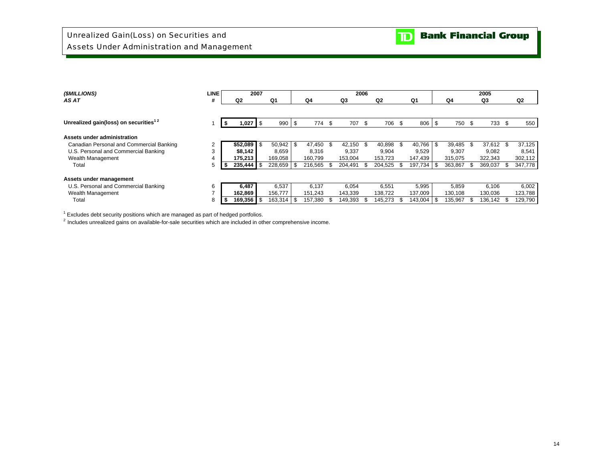| (\$MILLIONS)                                      | <b>LINE</b> |              | 2007 |             |      |         |                 | 2006 |                |     |               |         |     | 2005      |         |
|---------------------------------------------------|-------------|--------------|------|-------------|------|---------|-----------------|------|----------------|-----|---------------|---------|-----|-----------|---------|
| AS AT                                             | #           | Q2           |      | Q1          |      | Q4      | Q3              |      | Q <sub>2</sub> |     | Q1            | Q4      |     | Q3        | Q2      |
|                                                   |             |              |      |             |      |         |                 |      |                |     |               |         |     |           |         |
| Unrealized gain(loss) on securities <sup>12</sup> |             | 1,027        | \$   | 990         | - \$ | 774     | \$<br>707       | \$   | 706            | \$  | 806 \$        | 750     | \$  | 733 \$    | 550     |
| Assets under administration                       |             |              |      |             |      |         |                 |      |                |     |               |         |     |           |         |
| Canadian Personal and Commercial Banking          |             | \$52,089     | -\$  | $50,942$ \$ |      | 47.450  | \$<br>42.150 \$ |      | 40,898         | \$. | $40.766$ \ \$ | 39,485  | -\$ | 37,612 \$ | 37,125  |
| U.S. Personal and Commercial Banking              | 3           | \$8,142      |      | 8,659       |      | 8.316   | 9,337           |      | 9,904          |     | 9,529         | 9.307   |     | 9,082     | 8,541   |
| Wealth Management                                 |             | 175,213      |      | 169,058     |      | 160,799 | 153,004         |      | 153,723        |     | 147,439       | 315,075 |     | 322,343   | 302,112 |
| Total                                             | 5           | $235,444$ \$ |      | 228,659 \$  |      | 216.565 | 204,491 \$      |      | 204,525        | -\$ | $197,734$ \$  | 363,867 |     | 369,037   | 347,778 |
| Assets under management                           |             |              |      |             |      |         |                 |      |                |     |               |         |     |           |         |
| U.S. Personal and Commercial Banking              | 6           | 6,487        |      | 6,537       |      | 6.137   | 6,054           |      | 6,551          |     | 5,995         | 5.859   |     | 6,106     | 6,002   |
| Wealth Management                                 |             | 162,869      |      | 156,777     |      | 151,243 | 143,339         |      | 138,722        |     | 137,009       | 130,108 |     | 130,036   | 123,788 |
| Total                                             | 8           | 169,356      | -\$  | 163,314     |      | 157,380 | 149,393         |      | 145.273        | \$. | 143,004       | 135,967 |     | 136,142   | 129,790 |

 $1$  Excludes debt security positions which are managed as part of hedged portfolios.

 $<sup>2</sup>$  Includes unrealized gains on available-for-sale securities which are included in other comprehensive income.</sup>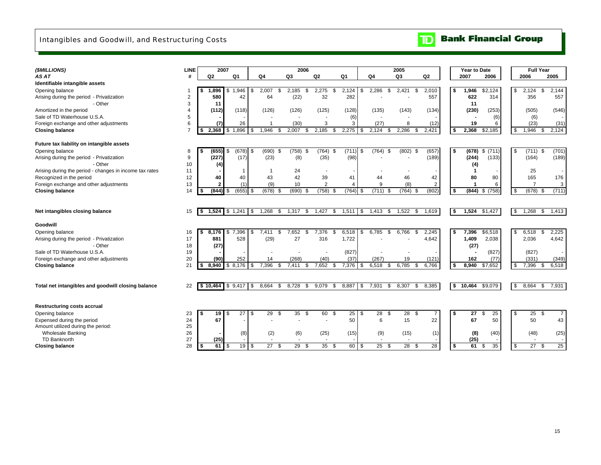### Intangibles and Goodwill, and Restructuring Costs



| (\$MILLIONS)                                            | <b>LINE</b>    |                | 2007                                   |                          | 2006         |                     |            |                    | 2005          |                 |    | Year to Date         |             | <b>Full Year</b>      |                       |
|---------------------------------------------------------|----------------|----------------|----------------------------------------|--------------------------|--------------|---------------------|------------|--------------------|---------------|-----------------|----|----------------------|-------------|-----------------------|-----------------------|
| AS AT                                                   |                | Q <sub>2</sub> | Q1                                     | Q <sub>4</sub>           | Q3           | Q <sub>2</sub>      | Q1         | Q4                 | Q3            | Q2              |    | 2007                 | 2006        | 2006                  | 2005                  |
| Identifiable intangible assets                          |                |                |                                        |                          |              |                     |            |                    |               |                 |    |                      |             |                       |                       |
| Opening balance                                         | $\overline{1}$ | 1,896          | \$<br>1,946                            | 2,007<br>\$              | 2,185<br>\$. | 2,275<br>\$<br>\$   | 2,124      | 2,286<br>\$<br>\$. | 2,421<br>\$   | 2,010           | Ŝ. | 1,946                | \$2,124     | \$<br>2,124           | \$<br>2.144           |
| Arising during the period - Privatization               | $\overline{2}$ | 580            | 42                                     | 64                       | (22)         | 32                  | 282        |                    |               | 557             |    | 622                  | 314         | 356                   | 557                   |
| - Other                                                 | 3              | 11             |                                        |                          |              |                     |            |                    |               |                 |    | 11                   |             |                       |                       |
| Amortized in the period                                 | $\overline{4}$ | (112)          | (118)                                  | (126)                    | (126)        | (125)               | (128)      | (135)              | (143)         | (134)           |    | (230)                | (253)       | (505)                 | (546)                 |
| Sale of TD Waterhouse U.S.A.                            | 5              |                |                                        |                          |              |                     | (6)        |                    |               |                 |    |                      | (6)         | (6)                   |                       |
| Foreign exchange and other adjustments                  | 6              | (7)            | 26                                     | $\overline{\mathbf{1}}$  | (30)         | 3                   | 3          | (27)               | 8             | (12)            |    | 19                   | 6           | (23)                  | (31)                  |
| <b>Closing balance</b>                                  | $\overline{7}$ | 2,368<br>s.    | ,896<br>\$                             | 1,946<br>\$              | 2,007<br>\$  | 2,185<br>\$<br>\$   | 2,275      | 2,124<br>\$.<br>\$ | 2,286<br>-\$  | 2,421           | Ŝ. | 2,368                | \$2,185     | \$<br>1,946           | 2,124<br>\$           |
|                                                         |                |                |                                        |                          |              |                     |            |                    |               |                 |    |                      |             |                       |                       |
| Future tax liability on intangible assets               |                |                |                                        |                          |              |                     |            |                    |               |                 |    |                      |             |                       |                       |
| Opening balance                                         | 8              | (655)<br>-S    | $(678)$ \$<br>- \$                     | $(690)$ \$               | $(758)$ \$   | $(764)$ \$          | $(711)$ \$ | (764)<br>\$        | $(802)$ \$    | (657)           | \$ | (678)                | \$<br>(711) | \$<br>$(711)$ \$      | (701)                 |
| Arising during the period - Privatization               | 9              | (227)          | (17)                                   | (23)                     | (8)          | (35)                | (98)       |                    |               | (189)           |    | (244)                | (133)       | (164)                 | (189)                 |
| - Other                                                 | 10             | (4)            |                                        |                          |              |                     |            |                    |               |                 |    | (4)                  |             |                       |                       |
| Arising during the period - changes in income tax rates | 11             |                |                                        | -1                       | 24           |                     |            |                    |               |                 |    | $\blacktriangleleft$ |             | 25                    |                       |
| Recognized in the period                                | 12             | 40             | 40                                     | 43                       | 42           | 39                  | 41         | 44                 | 46            | 42              |    | 80                   | 80          | 165                   | 176                   |
| Foreign exchange and other adjustments                  | 13             | 2              | (1)                                    | (9)                      | 10           | $\overline{2}$      | 4          | 9                  | (8)           | $\overline{2}$  |    | 1                    | 6           | $\overline{7}$        | 3                     |
| <b>Closing balance</b>                                  | 14             | (844)          | (655)<br>- \$                          | $(678)$ \$<br>\$         | (690)        | (758)<br>- \$<br>Я. | $(764)$ \$ | (711)<br>-S        | (764)<br>- \$ | (802)           | \$ | (844)                | \$<br>(758) | \$<br>$(678)$ \$      | (711)                 |
| Net intangibles closing balance                         | 15             | -S             | $1,524$ \$ 1,241                       | 1,268<br>$\overline{1s}$ | 1,317<br>\$  | 1,427<br>\$<br>\$   | 1,511      | 1,413<br>\$<br>\$  | 1,522<br>-\$  | 1,619           | S. | 1,524                | \$1,427     | \$<br>1,268           | \$<br>1,413           |
| Goodwill                                                |                |                |                                        |                          |              |                     |            |                    |               |                 |    |                      |             |                       |                       |
| Opening balance                                         | 16             | 8.176<br>\$    | \$<br>7,396                            | 7.411<br>\$              | 7,652<br>\$  | 7,376<br>\$<br>\$   | 6,518      | 6,785<br>\$<br>\$  | 6,766<br>\$   | 2,245           | Ŝ. | 7,396                | \$6,518     | \$<br>6,518           | \$<br>2,225           |
| Arising during the period - Privatization               | 17             | 881            | 528                                    | (29)                     | 27           | 316                 | 1,722      |                    |               | 4.642           |    | 1,409                | 2,038       | 2,036                 | 4,642                 |
| - Other                                                 | 18             | (27)           |                                        |                          |              |                     |            |                    |               |                 |    | (27)                 |             |                       |                       |
| Sale of TD Waterhouse U.S.A.                            | 19             |                |                                        |                          |              |                     | (827)      |                    |               |                 |    |                      | (827)       | (827)                 |                       |
| Foreign exchange and other adjustments                  | 20             | (90)           | 252                                    | 14                       | (268)        | (40)                | (37)       | (267)              | 19            | (121)           |    | 162                  | (77)        | (331)                 | (349)                 |
| <b>Closing balance</b>                                  | 21             | 8.940          | 8.176<br>\$                            | 7,396<br>\$              | 7,411        | 7,652<br>\$.        | 7,376      | 6,518              | 6.785<br>£.   | 6.766           | Ŝ. | 8.940                | \$7,652     | \$<br>7,396           | 6,518                 |
|                                                         |                |                |                                        |                          |              |                     |            |                    |               |                 |    |                      |             |                       |                       |
| Total net intangibles and goodwill closing balance      | 22             |                | $\vert 10,464 \vert 15,9,417 \vert 15$ | 8,664                    | 8,728<br>\$  | 9,079<br>\$<br>-\$  | 8,887      | 7,931<br>\$<br>\$  | 8,307<br>\$   | 8,385           | \$ | 10,464               | \$9,079     | \$<br>8,664           | 7,931<br>\$           |
|                                                         |                |                |                                        |                          |              |                     |            |                    |               |                 |    |                      |             |                       |                       |
| <b>Restructuring costs accrual</b>                      |                |                |                                        |                          |              |                     |            |                    |               |                 |    |                      |             |                       |                       |
| Opening balance                                         | 23             | 19<br>Ŝ.       | $27$ \$<br>- \$                        | 29 \$                    | 35           | - \$<br>60<br>- \$  | 25         | 28<br>-\$<br>-\$   | 28 \$         | $\overline{7}$  | Ŝ. | 27                   | 25<br>\$.   | \$<br>25              | -\$<br>$\overline{7}$ |
| Expensed during the period                              | 24             | 67             |                                        |                          |              |                     | 50         | 6                  | 15            | 22              |    | 67                   | 50          | 50                    | 43                    |
| Amount utilized during the period:                      | 25             |                |                                        |                          |              |                     |            |                    |               |                 |    |                      |             |                       |                       |
| <b>Wholesale Banking</b>                                | 26             |                | (8)                                    | (2)                      | (6)          | (25)                | (15)       | (9)                | (15)          | (1)             |    | (8)                  | (40)        | (48)                  | (25)                  |
| TD Banknorth                                            | 27             | (25)           |                                        |                          |              |                     |            | $\sim$             |               |                 |    | (25)                 |             |                       |                       |
| <b>Closing balance</b>                                  | 28             | 61<br>l \$     | 19S<br>\$                              | $\overline{27}$          | 29<br>-\$    | 35<br>-\$<br>. ድ    | 60         | 25<br>\$           | 28<br>- \$    | $\overline{28}$ | S. | 61                   | 35<br>\$    | \$<br>$\overline{27}$ | 25<br>\$              |
|                                                         |                |                |                                        |                          |              |                     |            |                    |               |                 |    |                      |             |                       |                       |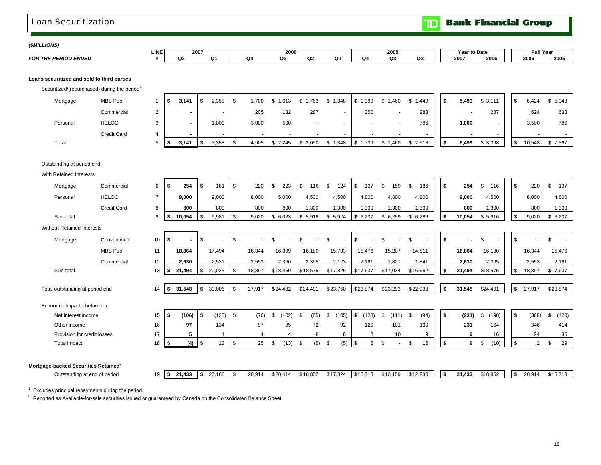## Loan Securitization

**TD** Bank Financial Group

### *(\$MILLIONS)*

|  | <b>FOR THE PERIOD ENDED</b> |  |
|--|-----------------------------|--|

|             | LINE | 2007 |  | 2006                     |  |    | 2005   |            |      | <b>Year to Date</b> | <b>Full Yea</b> |      |
|-------------|------|------|--|--------------------------|--|----|--------|------------|------|---------------------|-----------------|------|
| <b>NDED</b> |      | O2   |  | $\overline{\phantom{a}}$ |  | O۵ | $\sim$ | ດາ<br>$-1$ | 2007 | 2006                | 2006            | 2005 |

### **Loans securitized and sold to third parties**

Securitized/(repurchased) during the period<sup>1</sup>

| Mortgage | <b>MBS Pool</b> | IS.  | 3.141 | 2,358 | .700  | \$1,613 | \$1,763 | \$1,348 | $\frac{1}{2}$ 1,389 | \$1,460 | \$1,449 | 5,499  | \$3,111 | 6,424  | \$5,948 |
|----------|-----------------|------|-------|-------|-------|---------|---------|---------|---------------------|---------|---------|--------|---------|--------|---------|
|          |                 |      |       |       |       |         |         |         |                     |         |         |        |         |        |         |
|          | Commercial      |      | --    |       | 205   | 132     | 287     |         | 350                 |         | 283     |        | 287     | 624    | 633     |
| Personal | <b>HELOC</b>    |      |       | 1,000 | 3,000 | 500     |         |         |                     |         | 786     | 1,000  |         | 3,500  | 786     |
|          | Credit Card     |      |       |       |       |         |         | $\sim$  |                     |         |         | $\sim$ |         |        |         |
| Total    |                 | - 15 | 3.141 | 3,358 | 4,905 | \$2.245 | \$2,050 | \$1,348 | \$1,739             | \$1,460 | \$2,518 | 6,499  | \$3,398 | 10,548 | \$7,367 |

### Outstanding at period end

With Retained Interests

| Mortgage                                         | Commercial         | 6              | - 9  | 254            | l \$      | 181      | - \$ | 220      | 223          |     | 116      | \$<br>124   | \$<br>137   | -\$<br>159  | 186<br>\$   | \$  | 254    | \$<br>116  | - \$          | 220            | \$<br>137   |
|--------------------------------------------------|--------------------|----------------|------|----------------|-----------|----------|------|----------|--------------|-----|----------|-------------|-------------|-------------|-------------|-----|--------|------------|---------------|----------------|-------------|
| Personal                                         | <b>HELOC</b>       | $\overline{7}$ |      | 9,000          |           | 9,000    |      | 8,000    | 5,000        |     | 4,500    | 4,500       | 4,800       | 4,800       | 4,800       |     | 9,000  | 4,500      |               | 8,000          | 4,800       |
|                                                  | <b>Credit Card</b> | 8              |      | 800            |           | 800      |      | 800      | 800          |     | 1,300    | 1,300       | 1,300       | 1,300       | 1,300       |     | 800    | 1,300      |               | 800            | 1,300       |
| Sub-total                                        |                    | 9              | - \$ | 10,054         | -9        | 9,981    | -\$  | 9,020    | \$6,023      |     | \$5,916  | \$5,924     | \$6,237     | \$6,259     | \$6,286     | \$  | 10,054 | \$5,916    | \$            | 9,020          | \$<br>6,237 |
| <b>Without Retained Interests</b>                |                    |                |      |                |           |          |      |          |              |     |          |             |             |             |             |     |        |            |               |                |             |
| Mortgage                                         | Conventional       | 10             | -9   | $\blacksquare$ |           |          |      |          | ደ            |     |          | \$          | \$          | \$          | \$          | \$. |        |            | -\$           |                | \$          |
|                                                  | <b>MBS Pool</b>    | 11             |      | 18,864         |           | 17.494   |      | 16,344   | 16,099       |     | 16,180   | 15,703      | 15,476      | 15,207      | 14,811      |     | 18,864 | 16,180     |               | 16.344         | 15,476      |
|                                                  | Commercial         | 12             |      | 2,630          |           | 2,531    |      | 2,553    | 2,360        |     | 2,395    | 2,123       | 2,161       | 1,827       | 1,841       |     | 2,630  | 2,395      |               | 2,553          | 2,161       |
| Sub-total                                        |                    | 13             | l \$ | 21,494         | -\$       | 20,025   | \$   | 18,897   | \$18,459     |     | \$18,575 | \$17,826    | \$17,637    | \$17,034    | \$16,652    | \$  | 21,494 | \$18,575   | \$            | 18,897         | \$17,637    |
|                                                  |                    |                |      |                |           |          |      |          |              |     |          |             |             |             |             |     |        |            |               |                |             |
| Total outstanding at period end                  |                    | 14             | l \$ | 31,548         | <b>S</b>  | 30,006   | \$   | 27,917   | \$24,482     |     | \$24,491 | \$23,750    | \$23,874    | \$23,293    | \$22,938    | \$  | 31,548 | \$24,491   | $\mathfrak s$ | 27,917         | \$23,874    |
| Economic Impact - before-tax                     |                    |                |      |                |           |          |      |          |              |     |          |             |             |             |             |     |        |            |               |                |             |
| Net interest income                              |                    | 15             | -\$  | (106)          | l \$      | (125)    | - \$ | (76)     | 102)<br>- 96 |     | (85)     | (105)<br>\$ | \$<br>(123) | \$<br>(111) | (94)<br>\$. | \$  | (231)  | (190)<br>S | <b>S</b>      | (368)          | (420)<br>S. |
| Other income                                     |                    | 16             |      | 97             |           | 134      |      | 97       | 85           |     | 72       | 92          | 120         | 101         | 100         |     | 231    | 164        |               | 346            | 414         |
| Provision for credit losses                      |                    | 17             |      | 5              |           | $\Delta$ |      | $\Delta$ |              |     | 8        | 8           | 8           | 10          | 9           |     | 9      | 16         |               | 24             | 35          |
| Total impact                                     |                    | 18             | l \$ | (4)            | - \$      | 13       | \$   | 25       | (13)<br>. ድ  | -\$ | (5)      | (5)<br>\$   | \$<br>5     | - \$        | \$.<br>15   |     | 9      | (10)<br>S  | - \$          | $\overline{2}$ | 29<br>\$    |
|                                                  |                    |                |      |                |           |          |      |          |              |     |          |             |             |             |             |     |        |            |               |                |             |
| Mortgage-backed Securities Retained <sup>2</sup> |                    |                |      |                |           |          |      |          |              |     |          |             |             |             |             |     |        |            |               |                |             |
| Outstanding at end of period                     |                    | 19             | l \$ | 21,433         | <b>\$</b> | 23,186   | \$   | 20,914   | \$20,414     |     | \$18,852 | \$17,824    | \$15,718    | \$13,159    | \$12,230    | \$  | 21,433 | \$18,852   | <b>S</b>      | 20,914         | \$15,718    |

 $1$  Excludes principal repayments during the period.

<sup>2</sup> Reported as Available-for-sale securities issued or guaranteed by Canada on the Consolidated Balance Sheet.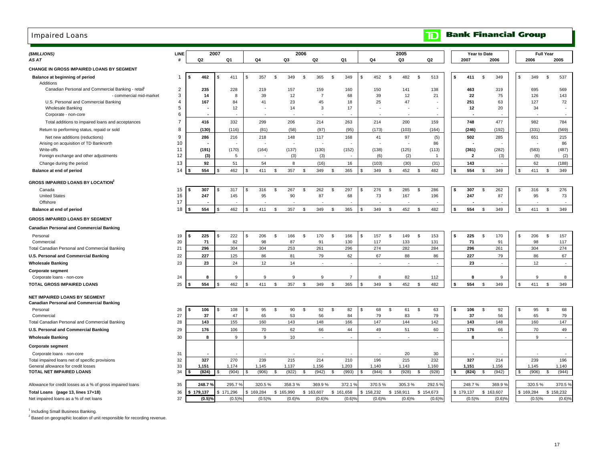## Impaired Loans

| (\$MILLIONS)                                                                     | LINE           |                      | 2007                 |             |              | 2006                     |                |                  | 2005                        |                          |    |                                  | Year to Date |             | <b>Full Year</b>    |
|----------------------------------------------------------------------------------|----------------|----------------------|----------------------|-------------|--------------|--------------------------|----------------|------------------|-----------------------------|--------------------------|----|----------------------------------|--------------|-------------|---------------------|
| AS AT                                                                            | #              | Q <sub>2</sub>       | Q1                   | Q4          | Q3           | Q2                       | Q1             | Q4               | Q3                          | Q <sub>2</sub>           |    | 2007                             | 2006         | 2006        | 2005                |
| CHANGE IN GROSS IMPAIRED LOANS BY SEGMENT                                        |                |                      |                      |             |              |                          |                |                  |                             |                          |    |                                  |              |             |                     |
| Balance at beginning of period<br>Additions                                      | -1             | 462<br>- 9           | 411<br>-S            | \$<br>357   | s.<br>349    | 365<br>\$                | S.<br>349      | \$<br>452<br>\$  | 482                         | \$<br>513                | S. | 411                              | \$<br>349    | \$<br>349   | 537<br>- \$         |
| Canadian Personal and Commercial Banking - retail                                | $\overline{c}$ | 235                  | 228                  | 219         | 157          | 159                      | 160            | 150              | 141                         | 138                      |    | 463                              | 319          | 695         | 569                 |
| - commercial mid-market                                                          | 3              | 14                   | 8                    | 39          | 12           | $\overline{7}$           | 68             | 39               | 12                          | 21                       |    | 22                               | 75           | 126         | 143                 |
| U.S. Personal and Commercial Banking                                             | 4              | 167                  | 84                   | 41          | 23           | 45                       | 18             | 25               | 47                          |                          |    | 251                              | 63           | 127         | 72                  |
| Wholesale Banking                                                                | 5              |                      | 12                   |             | 14           | 3                        | 17             |                  |                             |                          |    | 12                               | 20           | 34          | $\sim$              |
| Corporate - non-core                                                             | 6              |                      |                      |             |              | $\overline{\phantom{a}}$ |                |                  | $\overline{\phantom{a}}$    | $\overline{\phantom{a}}$ |    | $\overline{\phantom{a}}$         |              |             | $\overline{a}$      |
| Total additions to impaired loans and acceptances                                | $\overline{7}$ | 416                  | 332                  | 299         | 206          | 214                      | 263            | 214              | 200                         | 159                      |    | 748                              | 477          | 982         | 784                 |
| Return to performing status, repaid or sold                                      | 8              | (130)                | (116)                | (81)        | (58)         | (97)                     | (95)           | (173)            | (103)                       | (164)                    |    | (246)                            | (192)        | (331)       | (569)               |
| Net new additions (reductions)                                                   | 9              | 286                  | 216                  | 218         | 148          | 117                      | 168            | 41               | 97                          | (5)                      |    | 502                              | 285          | 651         | 215                 |
| Arising on acquisition of TD Banknorth                                           | 10<br>11       |                      |                      |             |              | ÷.                       |                |                  |                             | 86                       |    |                                  |              |             | 86                  |
| Write-offs<br>Foreign exchange and other adjustments                             | 12             | (191)<br>(3)         | (170)<br>5           | (164)       | (137)<br>(3) | (130)<br>(3)             | (152)          | (138)<br>(6)     | (125)<br>(2)                | (113)<br>$\overline{1}$  |    | (361)<br>$\overline{\mathbf{2}}$ | (282)<br>(3) | (583)       | (487)<br>(6)<br>(2) |
|                                                                                  |                |                      |                      |             |              |                          |                |                  |                             |                          |    |                                  |              |             |                     |
| Change during the period                                                         | 13             | 92                   | 51                   | 54          | 8            | (16)                     | 16             | (103)            | (30)                        | (31)                     |    | 143                              |              | 62          | (188)               |
| Balance at end of period                                                         | 14             | 554                  | 462                  | -S<br>411   | 357<br>\$    | 349<br>\$                | 365<br>\$      | 349<br>\$.<br>\$ | 452                         | 482<br>-\$               | ፍ  | 554                              | 349<br>\$    | 411<br>\$.  | 349<br>\$           |
| <b>GROSS IMPAIRED LOANS BY LOCATION<sup>2</sup></b>                              |                |                      |                      |             |              |                          |                |                  |                             |                          |    |                                  |              |             |                     |
| Canada                                                                           | 15             | 307                  | 317<br>- \$          | 316<br>\$   | \$<br>267    | \$<br>262                | \$<br>297      | 276<br>\$<br>\$  | 285                         | \$<br>286                | \$ | 307                              | \$<br>262    | \$<br>316   | <b>S</b><br>276     |
| <b>United States</b>                                                             | 16<br>17       | 247                  | 145                  | 95          | 90           | 87                       | 68             | 73               | 167                         | 196                      |    | 247                              | 87           | 95          | 73                  |
| Offshore<br>Balance at end of period                                             | 18             | 554                  | 462                  | 411<br>-S   | 357<br>\$    | 349<br>\$                | 365<br>- \$    | 349<br>\$<br>\$  | 452                         | 482<br>\$                |    | 554                              | 349<br>\$    | 411<br>S    | 349<br>\$           |
|                                                                                  |                |                      |                      |             |              |                          |                |                  |                             |                          |    |                                  |              |             |                     |
| <b>GROSS IMPAIRED LOANS BY SEGMENT</b>                                           |                |                      |                      |             |              |                          |                |                  |                             |                          |    |                                  |              |             |                     |
| <b>Canadian Personal and Commercial Banking</b>                                  |                |                      |                      |             |              |                          |                |                  |                             |                          |    |                                  |              |             |                     |
| Personal                                                                         | 19             | 225<br>- \$          | 222<br>- \$          | 206<br>\$   | \$<br>166    | \$<br>170                | \$<br>166      | \$<br>157<br>\$  | 149                         | 153<br>\$                | \$ | 225                              | 170<br>\$    | \$<br>206   | 157<br>- \$         |
| Commercial                                                                       | 20             | 71                   | 82                   | 98          | 87           | 91                       | 130            | 117              | 133                         | 131                      |    | 71                               | 91           | 98          | 117                 |
| Total Canadian Personal and Commercial Banking                                   | 21             | 296                  | 304                  | 304         | 253          | 261                      | 296            | 274              | 282                         | 284                      |    | 296                              | 261          | 304         | 274                 |
| U.S. Personal and Commercial Banking                                             | 22             | 227                  | 125                  | 86          | 81           | 79                       | 62             | 67               | 88                          | 86                       |    | 227                              | 79           | 86          | 67                  |
| <b>Wholesale Banking</b>                                                         | 23             | 23                   | 24                   | 12          | 14           | $\sim$                   | $\sim$         | $\sim$           | $\sim$                      | $\sim$                   |    | 23                               |              | 12          | $\sim$              |
| <b>Corporate segment</b>                                                         |                |                      |                      |             |              |                          |                |                  |                             |                          |    |                                  |              |             |                     |
| Corporate loans - non-core                                                       | 24             | 8                    | 9                    | 9           | 9            | 9                        | $\overline{7}$ | 8                | 82                          | 112                      |    | 8                                | 9            | 9           | 8                   |
| TOTAL GROSS IMPAIRED LOANS                                                       | 25             | 554                  | 462                  | 411<br>£.   | 357<br>\$    | 349<br>\$.               | 365<br>-S      | 349<br>\$.       | 452                         | 482<br>$\mathcal{S}$     | ¢  | 554                              | 349<br>-S    | \$<br>411   | 349<br>\$           |
| NET IMPAIRED LOANS BY SEGMENT<br><b>Canadian Personal and Commercial Banking</b> |                |                      |                      |             |              |                          |                |                  |                             |                          |    |                                  |              |             |                     |
| Personal                                                                         | 26             | 106<br>- \$          | 108<br>- \$          | 95<br>\$    | \$<br>90     | \$<br>92                 | \$<br>82       | 68<br>\$<br>\$   | 61                          | \$<br>63                 | \$ | 106                              | \$<br>92     | \$<br>95    | \$<br>68            |
| Commercial                                                                       | 27             | 37                   | 47                   | 65          | 53           | 56                       | 84             | 79               | 83                          | 79                       |    | 37                               | 56           | 65          | 79                  |
| Total Canadian Personal and Commercial Banking                                   | 28             | 143                  | 155                  | 160         | 143          | 148                      | 166            | 147              | 144                         | 142                      |    | 143                              | 148          | 160         | 147                 |
| U.S. Personal and Commercial Banking                                             | 29             | 176                  | 106                  | 70          | 62           | 66                       | 44             | 49               | 51                          | 60                       |    | 176                              | 66           | 70          | 49                  |
| <b>Wholesale Banking</b>                                                         | 30             | 8                    | 9                    | 9           | 10           | ÷.                       | $\sim$         | $\sim$           | $\mathcal{L}_{\mathcal{A}}$ | $\sim$                   |    | 8                                | ×.           | 9           | $\sim$              |
| <b>Corporate segment</b>                                                         |                |                      |                      |             |              |                          |                |                  |                             |                          |    |                                  |              |             |                     |
| Corporate loans - non-core                                                       | 31             |                      |                      |             |              |                          |                |                  | 20                          | 30                       |    |                                  |              |             |                     |
| Total impaired loans net of specific provisions                                  | 32             | 327                  | 270                  | 239         | 215          | 214                      | 210            | 196              | 215                         | 232                      |    | 327                              | 214          | 239         | 196                 |
| General allowance for credit losses<br><b>TOTAL NET IMPAIRED LOANS</b>           | 33<br>34       | 1,151<br>(824)       | 1,174<br>- \$        | 1,145       | 1,137        | 1,156                    | 1,203          | 1,140<br>(944)   | 1,143                       | 1,160<br>S.              | \$ | 1,151                            | 1,156        | 1,145       | 1,140<br>\$         |
|                                                                                  |                |                      | (904)                | (906)<br>S. | (922)<br>\$  | (942)<br>\$              | S.<br>(993)    | s.<br>s.         | (928)                       | (928)                    |    | (824)                            | (942)<br>-S  | (906)<br>-S | (944)               |
| Allowance for credit losses as a % of gross impaired loans                       | 35             | 248.7 %              | 295.7                | 320.5%      | 358.3%       | 369.9%                   | 372.19         | 370.5%           | 305.3%                      | 292.5 %                  |    | 248.7%                           | 369.9%       | 320.5%      | 370.5%              |
| Total Loans (page 13, lines 17+18)                                               | 36             | \$179,137            | \$171,296            | \$169,284   | \$165,990    | \$163,607                | \$161,658      | \$158,232        | \$158,911                   | \$154,673                |    | \$179,137                        | \$163,607    | \$169,284   | \$158,232           |
| Net impaired loans as a % of net loans                                           | 37             | $(0.5)$ <sup>o</sup> | $(0.5)$ <sup>9</sup> | (0.5)%      | (0.6)%       | (0.6)%                   | (0.6)          | (0.6)%           | $(0.6)$ %                   | $(0.6)$ %                |    | (0.5)%                           | (0.6)%       |             | (0.5)%<br>(0.6)%    |

<sup>1</sup> Including Small Business Banking.

<sup>2</sup> Based on geographic location of unit responsible for recording revenue.

**Bank Financial Group** 

 $|\mathbf{D}|$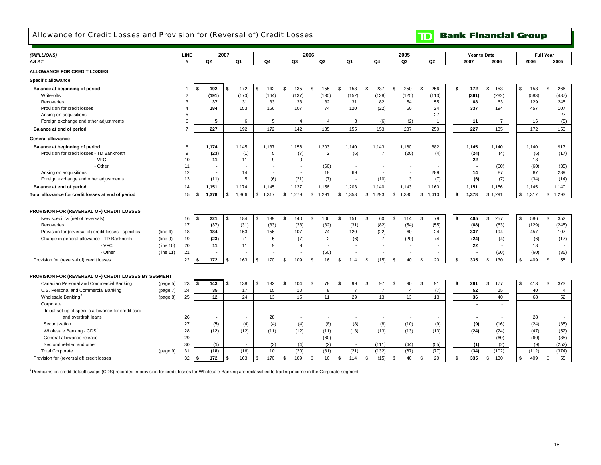### Allowance for Credit Losses and Provision for (Reversal of) Credit Losses

# **TD** Bank Financial Group

| (\$MILLIONS)                                          |           | LINE           |            | 2007         |       |              |                | 2006    |                |                |                |              |                |                | 2005                     |                    |                                 |    | Year to Date |                |                |                          | <b>Full Year</b> |                |
|-------------------------------------------------------|-----------|----------------|------------|--------------|-------|--------------|----------------|---------|----------------|----------------|----------------|--------------|----------------|----------------|--------------------------|--------------------|---------------------------------|----|--------------|----------------|----------------|--------------------------|------------------|----------------|
| AS AT                                                 |           | #              | Q2         |              | Q1    | Q4           | Q3             |         | Q <sub>2</sub> | Q <sub>1</sub> |                |              | Q4             |                | Q3                       |                    | Q2                              |    | 2007         |                | 2006           | 2006                     |                  | 2005           |
| <b>ALLOWANCE FOR CREDIT LOSSES</b>                    |           |                |            |              |       |              |                |         |                |                |                |              |                |                |                          |                    |                                 |    |              |                |                |                          |                  |                |
| Specific allowance                                    |           |                |            |              |       |              |                |         |                |                |                |              |                |                |                          |                    |                                 |    |              |                |                |                          |                  |                |
| Balance at beginning of period                        |           |                | 192        | \$           | 172   | \$<br>142    | \$<br>135      | \$      | 155            | \$             | 153            | $\mathbf{s}$ | 237            | $\mathfrak{s}$ | 250                      | \$                 | 256                             | \$ | 172          | $\mathfrak{L}$ | 153            | \$<br>153                | $\mathbb{S}$     | 266            |
| Write-offs                                            |           | $\overline{2}$ | (191)      |              | (170) | (164)        | (137)          |         | (130)          |                | (152)          |              | (138)          |                | (125)                    |                    | (113)                           |    | (361)        |                | (282)          | (583)                    |                  | (487)          |
| Recoveries                                            |           | 3              | 37         |              | 31    | 33           | 33             |         | 32             |                | 31             |              | 82             |                | 54                       |                    | 55                              |    | 68           |                | 63             | 129                      |                  | 245            |
| Provision for credit losses                           |           | 4              | 184        |              | 153   | 156          | 107            |         | 74             |                | 120            |              | (22)           |                | 60                       |                    | 24                              |    | 337          |                | 194            | 457                      |                  | 107            |
| Arising on acquisitions                               |           | 5              |            |              |       |              |                |         |                |                |                |              | $\sim$         |                | $\overline{\phantom{a}}$ |                    | 27                              |    |              |                |                | $\overline{\phantom{a}}$ |                  | 27             |
| Foreign exchange and other adjustments                |           | 6              | 5          |              | 6     | 5            | $\overline{4}$ |         | 4              |                | 3              |              | (6)            |                | (2)                      |                    | $\mathbf{1}$                    |    | 11           |                | $\overline{7}$ | 16                       |                  | (5)            |
| Balance at end of period                              |           | $\overline{7}$ | 227        |              | 192   | 172          | 142            |         | 135            |                | 155            |              | 153            |                | 237                      |                    | 250                             |    | 227          |                | 135            | 172                      |                  | 153            |
| <b>General allowance</b>                              |           |                |            |              |       |              |                |         |                |                |                |              |                |                |                          |                    |                                 |    |              |                |                |                          |                  |                |
| Balance at beginning of period                        |           | 8              | 1,174      |              | 1.145 | 1,137        | 1,156          |         | 1,203          |                | 1,140          |              | 1.143          |                | 1,160                    |                    | 882                             |    | 1,145        |                | 1,140          | 1.140                    |                  | 917            |
| Provision for credit losses - TD Banknorth            |           | 9              | (23)       |              | (1)   | 5            | (7)            |         | $\overline{2}$ |                | (6)            |              | $\overline{7}$ |                | (20)                     |                    |                                 |    | (24)         |                | (4)            | (6)                      |                  | (17)           |
| - VFC                                                 |           | 10             | 11         |              | 11    | $\mathbf{Q}$ | 9              |         |                |                |                |              |                |                | $\sim$                   |                    | (4)<br>$\overline{\phantom{a}}$ |    | 22           |                |                | 18                       |                  | $\sim$         |
| - Other                                               |           | 11             |            |              |       |              |                |         | (60)           |                |                |              |                |                | $\overline{\phantom{a}}$ |                    | $\overline{\phantom{a}}$        |    |              |                | (60)           | (60)                     |                  | (35)           |
| Arising on acquisitions                               |           | 12             |            | ٠            | 14    |              |                |         | 18             |                | 69             |              |                |                | $\blacksquare$           |                    | 289                             |    | 14           |                | 87             | 87                       |                  | 289            |
| Foreign exchange and other adjustments                |           | 13             | (11)       |              | 5     | (6)          | (21)           |         | (7)            |                | $\sim$         |              | (10)           |                | 3                        |                    | (7)                             |    | (6)          |                | (7)            | (34)                     |                  | (14)           |
|                                                       |           |                |            |              |       |              |                |         |                |                |                |              |                |                |                          |                    |                                 |    |              |                |                |                          |                  |                |
| Balance at end of period                              |           | 14             | 1,151      |              | 1,174 | 1,145        | 1,137          |         | 1,156          |                | 1,203          |              | 1,140          |                | 1,143                    |                    | 1,160                           |    | 1,151        |                | 1,156          | 1,145                    |                  | 1,140          |
| Total allowance for credit losses at end of period    |           | 15             | 1,378      | \$           | 1,366 | \$<br>1,317  | \$1,279        | \$1,291 |                | \$1,358        |                | \$           | 1,293          |                | \$1,380                  | \$1,410            |                                 | \$ | 1,378        |                | \$1,291        | \$<br>1,317              | \$               | 1,293          |
|                                                       |           |                |            |              |       |              |                |         |                |                |                |              |                |                |                          |                    |                                 |    |              |                |                |                          |                  |                |
| PROVISION FOR (REVERSAL OF) CREDIT LOSSES             |           |                |            |              |       |              |                |         |                |                |                |              |                |                |                          |                    |                                 |    |              |                |                |                          |                  |                |
| New specifics (net of reversals)                      |           | 16             | 221        | \$           | 184   | \$<br>189    | \$<br>140      | \$      | 106            | \$             | 151            | \$           | 60             | $\mathfrak{s}$ | 114                      | \$                 | 79                              | \$ | 405          | $\mathbb{S}$   | 257            | 586<br>\$                | \$               | 352            |
| Recoveries                                            |           | 17             | (37)       |              | (31)  | (33)         | (33)           |         | (32)           |                | (31)           |              | (82)           |                | (54)                     |                    | (55)                            |    | (68)         |                | (63)           | (129)                    |                  | (245)          |
| Provision for (reversal of) credit losses - specifics | (line 4)  | 18             | 184        |              | 153   | 156          | 107            |         | 74             |                | 120            |              | (22)           |                | 60                       |                    | 24                              |    | 337          |                | 194            | 457                      |                  | 107            |
| Change in general allowance - TD Banknorth            | (line 9)  | 19             | (23)       |              | (1)   | 5            | (7)            |         | $\overline{2}$ |                | (6)            |              | $\overline{7}$ |                | (20)                     |                    | (4)                             |    | (24)         |                | (4)            | (6)                      |                  | (17)           |
| - VFC                                                 | (line 10) | 20             | 11         |              | 11    | 9            | 9              |         |                |                |                |              |                |                |                          |                    | ٠                               |    | 22           |                |                | 18                       |                  | $\sim$         |
| - Other                                               | (line 11) | 21             |            |              |       |              |                |         | (60)           |                |                |              |                |                |                          |                    | $\sim$                          |    |              |                | (60)           | (60)                     |                  | (35)           |
| Provision for (reversal of) credit losses             |           | 22             | 172        | \$           | 163   | \$<br>170    | \$<br>109      | \$      | 16             | \$             | 114            | \$           | (15)           | \$             | 40                       | \$                 | 20                              | \$ | 335          | \$             | 130            | 409<br>\$                | \$               | 55             |
|                                                       |           |                |            |              |       |              |                |         |                |                |                |              |                |                |                          |                    |                                 |    |              |                |                |                          |                  |                |
| PROVISION FOR (REVERSAL OF) CREDIT LOSSES BY SEGMENT  |           |                |            |              |       |              |                |         |                |                |                |              |                |                |                          |                    |                                 |    |              |                |                |                          |                  |                |
| Canadian Personal and Commercial Banking              | (page 5)  | 23             | 143<br>l s | $\mathbf{s}$ | 138   | \$<br>132    | \$<br>104      | \$      | 78             | \$             | 99             | $\mathbf{s}$ | 97             | $\mathfrak{L}$ | 90                       | \$                 | 91                              | s. | 281          | \$             | 177            | \$<br>413                | \$               | 373            |
| U.S. Personal and Commercial Banking                  | (page 7)  | 24             | 35         |              | 17    | 15           | 10             |         | 8              |                | $\overline{7}$ |              | $\overline{7}$ |                | $\overline{4}$           |                    | (7)                             |    | 52           |                | 15             | 40                       |                  | $\overline{4}$ |
| Wholesale Banking                                     | (page 8)  | 25             | 12         |              | 24    | 13           | 15             |         | 11             |                | 29             |              | 13             |                | 13                       |                    | 13                              |    | 36           |                | 40             | 68                       |                  | 52             |
| Corporate                                             |           |                |            |              |       |              |                |         |                |                |                |              |                |                |                          |                    |                                 |    |              |                | ÷              |                          |                  |                |
| Initial set up of specific allowance for credit card  |           |                |            |              |       |              |                |         |                |                |                |              |                |                |                          |                    |                                 |    |              |                |                |                          |                  |                |
| and overdraft loans                                   |           | 26             |            |              |       | 28           |                |         |                |                |                |              |                |                |                          |                    | $\overline{\phantom{a}}$        |    |              |                |                | 28                       |                  | $\sim$         |
| Securitization                                        |           | 27             | (5)        |              | (4)   | (4)          | (4)            |         | (8)            |                | (8)            |              | (8)            |                | (10)                     |                    | (9)                             |    | (9)          |                | (16)           | (24)                     |                  | (35)           |
| Wholesale Banking - CDS                               |           | 28             | (12)       |              | (12)  | (11)         | (12)           |         | (11)           |                | (13)           |              | (13)           |                | (13)                     |                    | (13)                            |    | (24)         |                | (24)           | (47)                     |                  | (52)           |
| General allowance release                             |           | 29             |            |              |       |              |                |         | (60)           |                |                |              |                |                | $\overline{\phantom{a}}$ |                    |                                 |    |              |                | (60)           |                          |                  | (35)           |
| Sectoral related and other                            |           | 30             | (1)        |              |       | (3)          | (4)            |         | (2)            |                |                |              | (111)          |                | (44)                     |                    | (55)                            |    | (1)          |                | (2)            | (60)<br>(9)              |                  | (252)          |
| <b>Total Corporate</b>                                |           | 31             | (18)       |              | (16)  | 10           | (20)           |         | (81)           |                | (21)           |              | (132)          |                | (67)                     |                    | (77)                            |    | (34)         |                | (102)          | (112)                    |                  | (374)          |
|                                                       | (page 9)  |                |            |              |       |              |                |         |                |                |                |              |                |                |                          | $\mathbf{\hat{z}}$ |                                 |    |              |                |                |                          |                  |                |
| Provision for (reversal of) credit losses             |           | 32             | 172        | \$           | 163   | \$<br>170    | \$<br>109      | \$      | 16             | \$             | 114            | $\mathbf{s}$ | (15)           | <b>S</b>       | 40                       |                    | 20                              | \$ | 335          | s.             | 130            | \$<br>409                | s.               | 55             |

<sup>1</sup> Premiums on credit default swaps (CDS) recorded in provision for credit losses for Wholesale Banking are reclassified to trading income in the Corporate segment.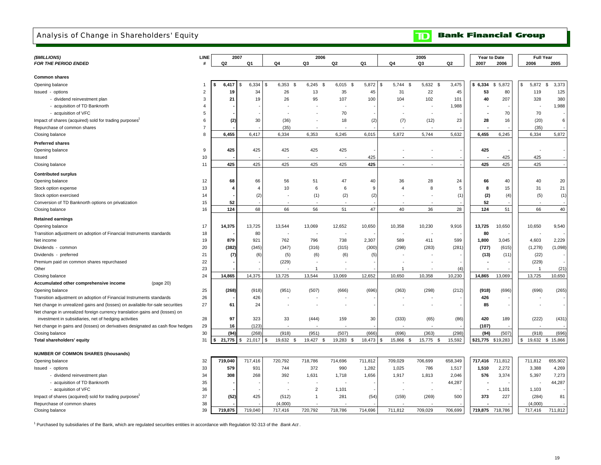### Analysis of Change in Shareholders' Equity

**Bank Financial Group**  $\mathbf{D}$ 

| (\$MILLIONS)                                                                   | LINE           | 2007    |              |                       | 2006           |                |         |                               | 2005        |         |          | Year to Date | <b>Full Year</b> |                   |  |
|--------------------------------------------------------------------------------|----------------|---------|--------------|-----------------------|----------------|----------------|---------|-------------------------------|-------------|---------|----------|--------------|------------------|-------------------|--|
| <b>FOR THE PERIOD ENDED</b>                                                    |                | Q2      | Q1           | Q4                    | Q3             | Q2             | Q1      | Q4                            | Q3          | Q2      | 2007     | 2006         | 2006             | 2005              |  |
|                                                                                |                |         |              |                       |                |                |         |                               |             |         |          |              |                  |                   |  |
| <b>Common shares</b>                                                           |                |         |              |                       |                |                |         |                               |             |         |          |              |                  |                   |  |
| Opening balance                                                                |                | 6,417   | 6,334<br>\$  | 6,353<br>S<br>\$      | 6,245<br>\$    | 6,015<br>- S   | 5,872   | 5,744<br>\$<br>$\mathfrak{L}$ | 5,632<br>\$ | 3,475   | \$6,334  | 5,872<br>\$  | 5,872<br>\$      | 3,373<br><b>S</b> |  |
| Issued - options                                                               | 2              | 19      | 34           | 26                    | 13             | 35             | 45      | 31                            | 22          | 45      | 53       | 80           | 119              | 125               |  |
| - dividend reinvestment plan                                                   | 3              | 21      | 19           | 26                    | 95             | 107            | 100     | 104                           | 102         | 101     | 40       | 207          | 328              | 380               |  |
| - acquisition of TD Banknorth                                                  | 4              |         |              |                       |                |                |         |                               |             | 1,988   |          |              |                  | 1,988             |  |
| - acquisition of VFC                                                           | 5              |         |              |                       |                | 70             |         |                               |             |         |          | 70           | 70               |                   |  |
| Impact of shares (acquired) sold for trading purposes'                         | 6              | (2      | 30           | (36)                  |                | 18             | (2)     | (7)                           | (12)        | 23      | 28       | 16           | (20)             | 6                 |  |
| Repurchase of common shares                                                    | $\overline{7}$ |         |              | (35)                  |                |                |         |                               |             |         |          |              | (35)             |                   |  |
| Closing balance                                                                | 8              | 6,455   | 6,417        | 6,334                 | 6,353          | 6,245          | 6,015   | 5,872                         | 5,744       | 5,632   | 6,455    | 6,245        | 6,334            | 5,872             |  |
|                                                                                |                |         |              |                       |                |                |         |                               |             |         |          |              |                  |                   |  |
| <b>Preferred shares</b>                                                        |                |         |              |                       |                |                |         |                               |             |         |          |              |                  |                   |  |
| Opening balance                                                                | 9              | 425     | 425          | 425                   | 425            | 425            |         |                               |             |         | 425      |              |                  |                   |  |
| Issued                                                                         | 10             |         |              |                       |                |                | 425     |                               |             |         |          | 425          | 425              |                   |  |
| Closing balance                                                                | 11             | 425     | 425          | 425                   | 425            | 425            | 425     | $\overline{a}$                | ÷.          |         | 425      | 425          | 425              |                   |  |
| <b>Contributed surplus</b>                                                     |                |         |              |                       |                |                |         |                               |             |         |          |              |                  |                   |  |
| Opening balance                                                                | 12             | 68      | 66           | 56                    | 51             | 47             | 40      | 36                            | 28          | 24      | 66       | 40           | 40               | 20                |  |
| Stock option expense                                                           | 13             |         | 4            | 10                    | 6              | 6              | 9       | $\overline{4}$                | 8           | 5       | 8        | 15           | 31               | 21                |  |
| Stock option exercised                                                         | 14             |         | (2)          |                       | (1)            | (2)            | (2)     |                               |             | (1)     | (2)      | (4)          | (5)              | (1)               |  |
| Conversion of TD Banknorth options on privatization                            | 15             | 52      |              |                       |                |                |         |                               |             |         | 52       |              |                  |                   |  |
| Closing balance                                                                | 16             | 124     | 68           | 66                    | 56             | 51             | 47      | 40                            | 36          | 28      | 124      | 51           | 66               | 40                |  |
|                                                                                |                |         |              |                       |                |                |         |                               |             |         |          |              |                  |                   |  |
| <b>Retained earnings</b>                                                       |                |         |              |                       |                |                |         |                               |             |         |          |              |                  |                   |  |
| Opening balance                                                                | 17             | 14,375  | 13,725       | 13,544                | 13,069         | 12,652         | 10,650  | 10,358                        | 10,230      | 9,916   | 13,725   | 10,650       | 10,650           | 9,540             |  |
| Transition adjustment on adoption of Financial Instruments standards           | 18             |         | 80           |                       |                |                |         |                               |             |         | 80       |              |                  |                   |  |
| Net income                                                                     | 19             | 879     | 921          | 762                   | 796            | 738            | 2,307   | 589                           | 411         | 599     | 1,800    | 3,045        | 4,603            | 2,229             |  |
| Dividends - common                                                             | 20             | (382)   | (345)        | (347)                 | (316)          | (315)          | (300)   | (298)                         | (283)       | (281)   | (727)    | (615)        | (1,278)          | (1,098)           |  |
| Dividends - preferred                                                          | 21             | (7)     | (6)          | (5)                   | (6)            | (6)            | (5)     |                               |             |         | (13)     | (11)         | (22)             |                   |  |
| Premium paid on common shares repurchased                                      | 22             |         |              | (229)                 |                |                |         |                               |             |         |          |              | (229)            |                   |  |
| Other                                                                          | 23             |         |              |                       | -1             |                |         | $\overline{1}$                |             | (4)     |          |              | $\overline{1}$   | (21)              |  |
| Closing balance                                                                | 24             | 14,865  | 14,375       | 13,725                | 13.544         | 13,069         | 12,652  | 10,650                        | 10.358      | 10,230  | 14,865   | 13,069       | 13,725           | 10,650            |  |
| Accumulated other comprehensive income<br>(page 20)                            |                |         |              |                       |                |                |         |                               |             |         |          |              |                  |                   |  |
| Opening balance                                                                | 25             | (268)   | (918)        | (951)                 | (507)          | (666)          | (696)   | (363)                         | (298)       | (212)   | (918)    | (696)        | (696)            | (265)             |  |
| Transition adjustment on adoption of Financial Instruments standards           | 26             |         | 426          |                       |                |                |         |                               |             |         | 426      |              |                  |                   |  |
| Net change in unrealized gains and (losses) on available-for-sale securities   | 27             | 61      | 24           |                       |                |                |         |                               |             |         | 85       |              |                  |                   |  |
| Net change in unrealized foreign currency translation gains and (losses) on    |                |         |              |                       |                |                |         |                               |             |         |          |              |                  |                   |  |
| investment in subsidiaries, net of hedging activities                          | 28             | 97      | 323          | 33                    | (444)          | 159            | 30      | (333)                         | (65)        | (86)    | 420      | 189          | (222)            | (431)             |  |
| Net change in gains and (losses) on derivatives designated as cash flow hedges | 29             | 16      | (123)        |                       |                |                |         |                               |             |         | (107)    |              |                  |                   |  |
| Closing balance                                                                | 30             | (94)    | (268)        | (918)                 | (951)          | (507)          | (666)   | (696)                         | (363)       | (298)   | (94)     | (507)        | (918)            | (696)             |  |
| Total shareholders' equity                                                     | 31             | 21,775  | \$<br>21,017 | 19,632 \$<br><b>S</b> | 19,427 \$      | 19,283<br>- \$ | 18,473  | 15,866 \$<br>\$               | 15,775 \$   | 15,592  | \$21,775 | \$19,283     |                  | 19,632 \$ 15,866  |  |
|                                                                                |                |         |              |                       |                |                |         |                               |             |         |          |              |                  |                   |  |
| <b>NUMBER OF COMMON SHARES (thousands)</b>                                     |                |         |              |                       |                |                |         |                               |             |         |          |              |                  |                   |  |
| Opening balance                                                                | 32             | 719,040 | 717,416      | 720,792               | 718,786        | 714,696        | 711,812 | 709,029                       | 706,699     | 658,349 | 717,416  | 711,812      | 711,812          | 655,902           |  |
| Issued - options                                                               | 33             | 579     | 931          | 744                   | 372            | 990            | 1,282   | 1,025                         | 786         | 1,517   | 1,510    | 2,272        | 3,388            | 4,269             |  |
| - dividend reinvestment plan                                                   | 34             | 308     | 268          | 392                   | 1,631          | 1,718          | 1,656   | 1,917                         | 1,813       | 2,046   | 576      | 3,374        | 5,397            | 7,273             |  |
| - acquisition of TD Banknorth                                                  | 35             |         |              |                       |                |                |         |                               |             | 44,287  |          |              |                  | 44,287            |  |
| - acquisition of VFC                                                           | 36             |         |              |                       | $\overline{2}$ | 1,101          |         |                               |             |         |          | 1,101        | 1,103            |                   |  |
| Impact of shares (acquired) sold for trading purposes                          | 37             | (52)    | 425          | (512)                 | $\mathbf{1}$   | 281            | (54)    | (159)                         | (269)       | 500     | 373      | 227          | (284)            | 81                |  |
| Repurchase of common shares                                                    | 38             |         |              | (4,000)               |                |                |         |                               |             |         |          |              | (4,000)          |                   |  |
| Closing balance                                                                | 39             | 719,875 | 719.040      | 717,416               | 720.792        | 718,786        | 714,696 | 711.812                       | 709.029     | 706,699 | 719.875  | 718,786      | 717,416          | 711.812           |  |

1 Purchased by subsidiaries of the Bank, which are regulated securities entities in accordance with Regulation 92-313 of the *Bank Act* .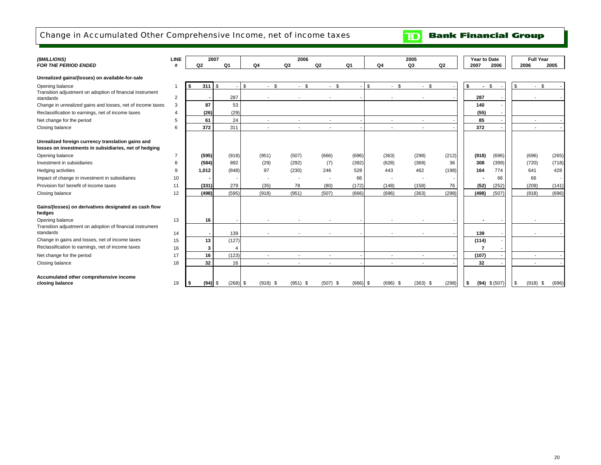## Change in Accumulated Other Comprehensive Income, net of income taxes

| (\$MILLIONS)<br><b>FOR THE PERIOD ENDED</b>                                                                | <b>LINE</b>              | Q <sub>2</sub> | 2007<br>Q <sub>1</sub> |            | Q4         | 2006<br>Q3 | Q2         | Q <sub>1</sub> | Q <sub>4</sub> |                          | 2005<br>Q3               | Q2    | Year to Date<br>2007 | 2006            | 2006 | <b>Full Year</b> | 2005           |
|------------------------------------------------------------------------------------------------------------|--------------------------|----------------|------------------------|------------|------------|------------|------------|----------------|----------------|--------------------------|--------------------------|-------|----------------------|-----------------|------|------------------|----------------|
|                                                                                                            |                          |                |                        |            |            |            |            |                |                |                          |                          |       |                      |                 |      |                  |                |
| Unrealized gains/(losses) on available-for-sale                                                            |                          |                |                        |            |            |            |            |                |                |                          |                          |       |                      |                 |      |                  |                |
| Opening balance                                                                                            | $\overline{\phantom{a}}$ | 311<br>Ŝ.      | Ŝ.                     | \$         | $-$ \$     | $-$ \$     | $-$ \$     |                | \$             | $-$ \$                   | $-$ \$                   |       | \$<br>$\blacksquare$ | - \$            |      | <b>S</b>         |                |
| Transition adjustment on adoption of financial instrument                                                  |                          |                | 287                    |            |            |            |            |                |                |                          |                          |       | 287                  |                 |      |                  |                |
| standards                                                                                                  | 2                        |                |                        |            |            |            |            |                |                |                          |                          |       |                      |                 |      |                  |                |
| Change in unrealized gains and losses, net of income taxes                                                 | 3                        |                | 87<br>53               |            |            |            |            |                |                |                          |                          |       | 140                  |                 |      |                  |                |
| Reclassification to earnings, net of income taxes                                                          |                          |                | (29)<br>(26)           |            |            |            |            |                |                |                          |                          |       | (55)                 |                 |      |                  |                |
| Net change for the period                                                                                  | 5                        |                | 24<br>61               |            |            |            |            |                |                |                          |                          |       | 85                   |                 |      |                  |                |
| Closing balance                                                                                            | 6                        | 372            | 311                    |            |            |            |            |                |                | $\overline{\phantom{a}}$ | $\overline{\phantom{a}}$ |       | 372                  |                 |      |                  |                |
|                                                                                                            |                          |                |                        |            |            |            |            |                |                |                          |                          |       |                      |                 |      |                  |                |
| Unrealized foreign currency translation gains and<br>losses on investments in subsidiaries, net of hedging |                          |                |                        |            |            |            |            |                |                |                          |                          |       |                      |                 |      |                  |                |
| Opening balance                                                                                            |                          | (595)          | (918)                  |            | (951)      | (507)      | (666)      | (696)          |                | (363)                    | (298)                    | (212) | (918)                | (696)           |      | (696)            | (265)          |
| Investment in subsidiaries                                                                                 | 8                        | (584)          | 892                    |            | (29)       | (292)      | (7)        | (392)          |                | (628)                    | (369)                    | 36    | 308                  | (399)           |      | (720)            | (718)          |
| Hedging activities                                                                                         | <sub>9</sub>             | 1.012          | (848)                  |            | 97         | (230)      | 246        | 528            |                | 443                      | 462                      | (198) | 164                  | 774             |      | 641              | 428            |
| Impact of change in investment in subsidiaries                                                             | 10                       |                |                        |            |            |            |            | 66             |                |                          | $\overline{\phantom{a}}$ |       |                      | 66              |      | 66               | $\blacksquare$ |
| Provision for/ benefit of income taxes                                                                     | 11                       | (331)          | 279                    |            | (35)       | 78         | (80)       | (172)          |                | (148)                    | (158)                    | 76    | (52)                 | (252)           |      | (209)            | (141)          |
| Closing balance                                                                                            | 12                       | (498)          | (595)                  |            | (918)      | (951)      | (507)      | (666)          |                | (696)                    | (363)                    | (298) | (498)                | (507)           |      | (918)            | (696)          |
| Gains/(losses) on derivatives designated as cash flow<br>hedges                                            |                          |                |                        |            |            |            |            |                |                |                          |                          |       |                      |                 |      |                  |                |
| Opening balance                                                                                            | 13                       |                | 16                     |            |            |            |            |                |                |                          |                          |       |                      |                 |      |                  |                |
| Transition adjustment on adoption of financial instrument<br>standards                                     |                          |                |                        |            |            |            |            |                |                |                          |                          |       |                      |                 |      |                  |                |
| Change in gains and losses, net of income taxes                                                            | 14                       |                | 139                    |            |            |            |            |                |                |                          |                          |       | 139                  |                 |      |                  |                |
| Reclassification to earnings, net of income taxes                                                          | 15                       |                | 13<br>(127)            |            |            |            |            |                |                |                          |                          |       | (114)                |                 |      |                  |                |
|                                                                                                            | 16                       |                | 3                      | 4          |            |            |            |                |                |                          |                          |       | $\overline{7}$       |                 |      |                  |                |
| Net change for the period                                                                                  | 17                       |                | 16<br>(123)            |            |            |            |            |                |                | $\overline{\phantom{a}}$ | $\overline{\phantom{a}}$ |       | (107)                |                 |      |                  |                |
| Closing balance                                                                                            | 18                       |                | 32<br>16               |            |            |            |            |                |                |                          |                          |       | 32                   |                 |      |                  |                |
| Accumulated other comprehensive income<br>closing balance                                                  | 19                       |                | $(94)$ \$              | $(268)$ \$ | $(918)$ \$ | $(951)$ \$ | $(507)$ \$ | $(666)$ \$     |                | $(696)$ \$               | $(363)$ \$               | (298) | \$                   | $(94)$ \$ (507) |      | $(918)$ \$       | (696)          |

**TD** Bank Financial Group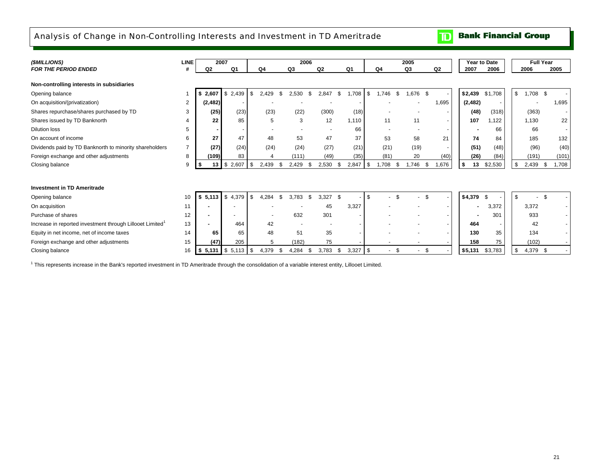### Analysis of Change in Non-Controlling Interests and Investment in TD Ameritrade

**Bank Financial Group**  $\mathbf{D}$ 

| (\$MILLIONS)                                                          | <b>LINE</b>    |                | 2007                                    |    |              |                | 2006 |               |                   |             |                | 2005           |               |                          | Year to Date |         |    | <b>Full Year</b> |                          |  |
|-----------------------------------------------------------------------|----------------|----------------|-----------------------------------------|----|--------------|----------------|------|---------------|-------------------|-------------|----------------|----------------|---------------|--------------------------|--------------|---------|----|------------------|--------------------------|--|
| <b>FOR THE PERIOD ENDED</b>                                           |                | Q <sub>2</sub> | Q1                                      | Q4 |              | Q <sub>3</sub> |      | Q2            | Q1                |             | Q <sub>4</sub> | Q <sub>3</sub> |               | Q2                       | 2007         | 2006    |    | 2006             | 2005                     |  |
| Non-controlling interests in subsidiaries                             |                |                |                                         |    |              |                |      |               |                   |             |                |                |               |                          |              |         |    |                  |                          |  |
| Opening balance                                                       |                | \$2,607        | \$2,439                                 | \$ | 2.429        | 2.530          | £.   | 2.847         | \$<br>.708        | -\$         | .746<br>-S     |                | 1,676 \$      |                          | \$2,439      | \$1,708 | \$ | $1,708$ \$       |                          |  |
| On acquisition/(privatization)                                        | $\overline{2}$ | (2, 482)       |                                         |    |              |                |      |               |                   |             |                |                |               | 1,695                    | (2, 482)     |         |    |                  | 1,695                    |  |
| Shares repurchase/shares purchased by TD                              | 3              | (25)           | (23)                                    |    | (23)         | (22)           |      | (300)         | (18)              |             |                |                |               | -                        | (48)         | (318)   |    | (363)            | $\blacksquare$           |  |
| Shares issued by TD Banknorth                                         |                | 22             | 85                                      |    | 5            | 3              |      | 12            | 1,110             |             | 11             |                | 11            | $\overline{\phantom{a}}$ | 107          | .122    |    | 1.130            | 22                       |  |
| <b>Dilution loss</b>                                                  | 5              |                |                                         |    |              |                |      |               | 66                |             |                |                |               |                          |              | 66      |    | 66               | $\overline{\phantom{a}}$ |  |
| On account of income                                                  | 6              | 27             | 47                                      |    | 48           | 53             |      | 47            | 37                |             | 53             |                | 58            | 21                       | 74           | 84      |    | 185              | 132                      |  |
| Dividends paid by TD Banknorth to minority shareholders               | 7              | (27)           | (24)                                    |    | (24)         | (24)           |      | (27)          | (21)              |             | (21)           |                | (19)          | $\sim$                   | (51)         | (48)    |    | (96)             | (40)                     |  |
| Foreign exchange and other adjustments                                | 8              | (109)          | 83                                      |    |              | (111)          |      | (49)          | (35)              |             | (81)           |                | 20            | (40)                     | (26)         | (84)    |    | (191)            | (101)                    |  |
| Closing balance                                                       | 9              | 13             | \$<br>2.607                             | -S | 2,439        | 2,429          | -\$  | 2,530         | $2,847$ \$<br>-\$ |             | .708<br>- \$   |                | 1.746<br>- \$ | ,676                     | 13           | \$2,530 | \$ | 2,439            | 1,708<br>- \$            |  |
|                                                                       |                |                |                                         |    |              |                |      |               |                   |             |                |                |               |                          |              |         |    |                  |                          |  |
| <b>Investment in TD Ameritrade</b>                                    |                |                |                                         |    |              |                |      |               |                   |             |                |                |               |                          |              |         |    |                  |                          |  |
| Opening balance                                                       | 10             | \$5,113        | \$4,379                                 | \$ | 4.284<br>£.  | 3.783          | S.   | 3.327<br>- \$ |                   | \$          |                |                |               |                          | \$4,379      | - \$    | \$ |                  |                          |  |
| On acquisition                                                        | 11             |                |                                         |    |              |                |      | 45            | 3,327             |             |                |                |               |                          |              | 3,372   |    | 3.372            |                          |  |
| Purchase of shares                                                    | 12             |                |                                         |    |              | 632            |      | 301           |                   |             |                |                |               |                          |              | 301     |    | 933              |                          |  |
| Increase in reported investment through Lillooet Limited <sup>1</sup> | 13             |                | 464                                     |    | 42           |                |      |               |                   |             |                |                |               |                          | 464          |         |    | 42               |                          |  |
| Equity in net income, net of income taxes                             | 14             | 65             | 65                                      |    | 48           | 51             |      | 35            |                   |             |                |                |               | $\overline{\phantom{a}}$ | 130          | 35      |    | 134              |                          |  |
| Foreign exchange and other adjustments                                | 15             | (47)           | 205                                     |    | 5            | (182)          |      | 75            |                   |             |                |                |               |                          | 158          | 75      |    | (102)            |                          |  |
| Closing balance                                                       | 16             |                | $\frac{1}{2}$ 5,131 $\frac{1}{2}$ 5,113 | \$ | 4,379<br>\$. | 4,284          | - \$ | 3,783         | 3,327<br>\$       | <b>1 \$</b> | -\$            |                | \$<br>٠       |                          | \$5,131      | \$3,783 | \$ | 4,379 \$         |                          |  |

1 This represents increase in the Bank's reported investment in TD Ameritrade through the consolidation of a variable interest entity, Lillooet Limited.